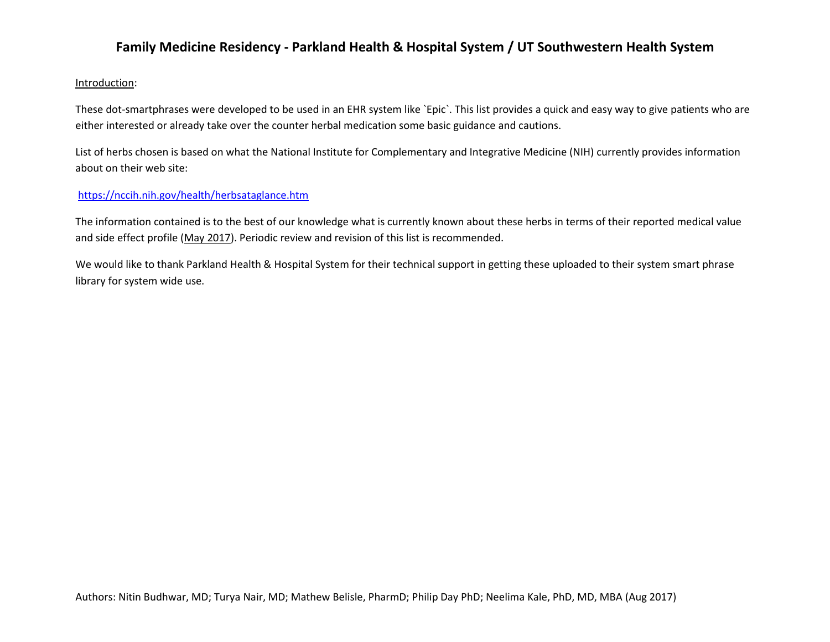#### Introduction:

These dot-smartphrases were developed to be used in an EHR system like `Epic`. This list provides a quick and easy way to give patients who are either interested or already take over the counter herbal medication some basic guidance and cautions.

List of herbs chosen is based on what the National Institute for Complementary and Integrative Medicine (NIH) currently provides information about on their web site:

#### <https://nccih.nih.gov/health/herbsataglance.htm>

The information contained is to the best of our knowledge what is currently known about these herbs in terms of their reported medical value and side effect profile (May 2017). Periodic review and revision of this list is recommended.

We would like to thank Parkland Health & Hospital System for their technical support in getting these uploaded to their system smart phrase library for system wide use.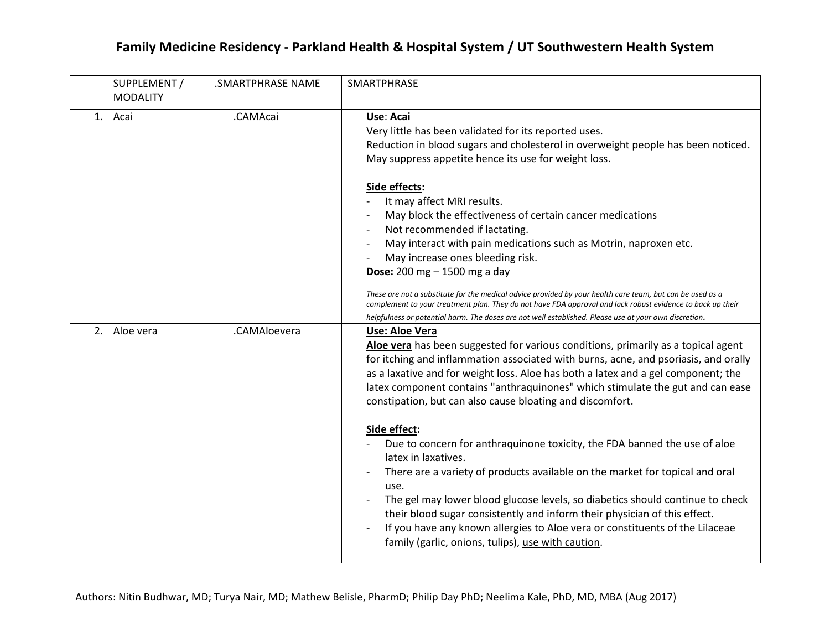| SUPPLEMENT /<br><b>MODALITY</b> | .SMARTPHRASE NAME | SMARTPHRASE                                                                                                                                                                                                                                                                                                                                                                                                                                                                                                                                                                                                                                                                                                                                                                                                                                                                                                                                                                                                                                             |
|---------------------------------|-------------------|---------------------------------------------------------------------------------------------------------------------------------------------------------------------------------------------------------------------------------------------------------------------------------------------------------------------------------------------------------------------------------------------------------------------------------------------------------------------------------------------------------------------------------------------------------------------------------------------------------------------------------------------------------------------------------------------------------------------------------------------------------------------------------------------------------------------------------------------------------------------------------------------------------------------------------------------------------------------------------------------------------------------------------------------------------|
| 1. Acai                         | .CAMAcai          | Use: Acai<br>Very little has been validated for its reported uses.<br>Reduction in blood sugars and cholesterol in overweight people has been noticed.<br>May suppress appetite hence its use for weight loss.<br>Side effects:<br>It may affect MRI results.<br>May block the effectiveness of certain cancer medications<br>Not recommended if lactating.<br>May interact with pain medications such as Motrin, naproxen etc.<br>May increase ones bleeding risk.<br><b>Dose:</b> 200 mg $-$ 1500 mg a day<br>These are not a substitute for the medical advice provided by your health care team, but can be used as a<br>complement to your treatment plan. They do not have FDA approval and lack robust evidence to back up their                                                                                                                                                                                                                                                                                                                 |
| 2. Aloe vera                    | .CAMAloevera      | helpfulness or potential harm. The doses are not well established. Please use at your own discretion.<br>Use: Aloe Vera<br>Aloe vera has been suggested for various conditions, primarily as a topical agent<br>for itching and inflammation associated with burns, acne, and psoriasis, and orally<br>as a laxative and for weight loss. Aloe has both a latex and a gel component; the<br>latex component contains "anthraquinones" which stimulate the gut and can ease<br>constipation, but can also cause bloating and discomfort.<br>Side effect:<br>Due to concern for anthraquinone toxicity, the FDA banned the use of aloe<br>latex in laxatives.<br>There are a variety of products available on the market for topical and oral<br>use.<br>The gel may lower blood glucose levels, so diabetics should continue to check<br>their blood sugar consistently and inform their physician of this effect.<br>If you have any known allergies to Aloe vera or constituents of the Lilaceae<br>family (garlic, onions, tulips), use with caution. |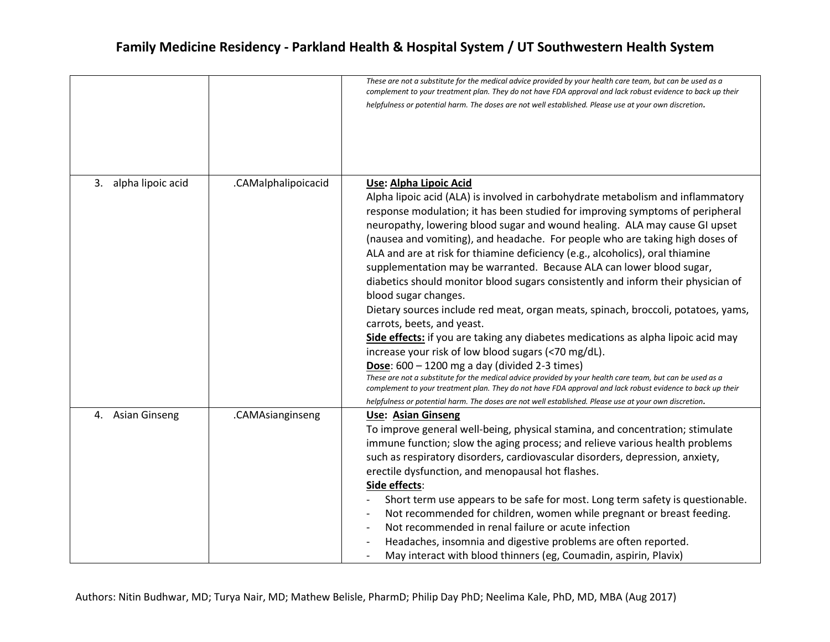|                         |                     | These are not a substitute for the medical advice provided by your health care team, but can be used as a<br>complement to your treatment plan. They do not have FDA approval and lack robust evidence to back up their<br>helpfulness or potential harm. The doses are not well established. Please use at your own discretion.                                                                                                                                                                                                                                                                                                                                                                                                                                                                                                                                                                                                                                                                                                                                                                                                                                                                                                                                                           |
|-------------------------|---------------------|--------------------------------------------------------------------------------------------------------------------------------------------------------------------------------------------------------------------------------------------------------------------------------------------------------------------------------------------------------------------------------------------------------------------------------------------------------------------------------------------------------------------------------------------------------------------------------------------------------------------------------------------------------------------------------------------------------------------------------------------------------------------------------------------------------------------------------------------------------------------------------------------------------------------------------------------------------------------------------------------------------------------------------------------------------------------------------------------------------------------------------------------------------------------------------------------------------------------------------------------------------------------------------------------|
| 3.<br>alpha lipoic acid | .CAMalphalipoicacid | Use: Alpha Lipoic Acid<br>Alpha lipoic acid (ALA) is involved in carbohydrate metabolism and inflammatory<br>response modulation; it has been studied for improving symptoms of peripheral<br>neuropathy, lowering blood sugar and wound healing. ALA may cause GI upset<br>(nausea and vomiting), and headache. For people who are taking high doses of<br>ALA and are at risk for thiamine deficiency (e.g., alcoholics), oral thiamine<br>supplementation may be warranted. Because ALA can lower blood sugar,<br>diabetics should monitor blood sugars consistently and inform their physician of<br>blood sugar changes.<br>Dietary sources include red meat, organ meats, spinach, broccoli, potatoes, yams,<br>carrots, beets, and yeast.<br>Side effects: if you are taking any diabetes medications as alpha lipoic acid may<br>increase your risk of low blood sugars (<70 mg/dL).<br><b>Dose:</b> $600 - 1200$ mg a day (divided 2-3 times)<br>These are not a substitute for the medical advice provided by your health care team, but can be used as a<br>complement to your treatment plan. They do not have FDA approval and lack robust evidence to back up their<br>helpfulness or potential harm. The doses are not well established. Please use at your own discretion. |
| 4. Asian Ginseng        | .CAMAsianginseng    | <b>Use: Asian Ginseng</b><br>To improve general well-being, physical stamina, and concentration; stimulate<br>immune function; slow the aging process; and relieve various health problems<br>such as respiratory disorders, cardiovascular disorders, depression, anxiety,<br>erectile dysfunction, and menopausal hot flashes.<br>Side effects:<br>Short term use appears to be safe for most. Long term safety is questionable.<br>Not recommended for children, women while pregnant or breast feeding.<br>Not recommended in renal failure or acute infection<br>Headaches, insomnia and digestive problems are often reported.<br>May interact with blood thinners (eg, Coumadin, aspirin, Plavix)                                                                                                                                                                                                                                                                                                                                                                                                                                                                                                                                                                                   |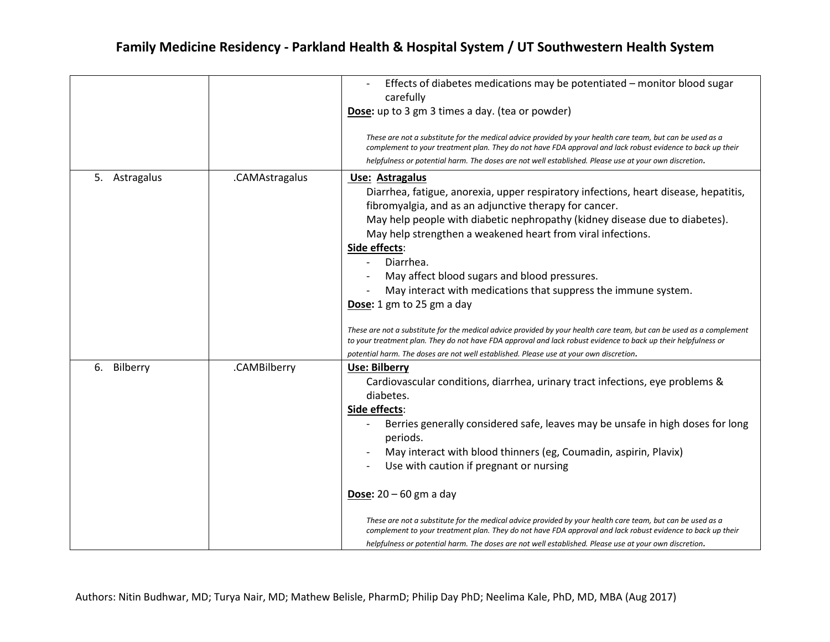|                  |                | Effects of diabetes medications may be potentiated - monitor blood sugar<br>carefully<br>Dose: up to 3 gm 3 times a day. (tea or powder)<br>These are not a substitute for the medical advice provided by your health care team, but can be used as a<br>complement to your treatment plan. They do not have FDA approval and lack robust evidence to back up their<br>helpfulness or potential harm. The doses are not well established. Please use at your own discretion.                                                                                                                                                                                                                                                                                                                                                     |
|------------------|----------------|----------------------------------------------------------------------------------------------------------------------------------------------------------------------------------------------------------------------------------------------------------------------------------------------------------------------------------------------------------------------------------------------------------------------------------------------------------------------------------------------------------------------------------------------------------------------------------------------------------------------------------------------------------------------------------------------------------------------------------------------------------------------------------------------------------------------------------|
| Astragalus<br>5. | .CAMAstragalus | Use: Astragalus<br>Diarrhea, fatigue, anorexia, upper respiratory infections, heart disease, hepatitis,<br>fibromyalgia, and as an adjunctive therapy for cancer.<br>May help people with diabetic nephropathy (kidney disease due to diabetes).<br>May help strengthen a weakened heart from viral infections.<br>Side effects:<br>Diarrhea.<br>May affect blood sugars and blood pressures.<br>May interact with medications that suppress the immune system.<br>Dose: 1 gm to 25 gm a day<br>These are not a substitute for the medical advice provided by your health care team, but can be used as a complement<br>to your treatment plan. They do not have FDA approval and lack robust evidence to back up their helpfulness or<br>potential harm. The doses are not well established. Please use at your own discretion. |
| 6. Bilberry      | .CAMBilberry   | Use: Bilberry<br>Cardiovascular conditions, diarrhea, urinary tract infections, eye problems &<br>diabetes.<br>Side effects:<br>Berries generally considered safe, leaves may be unsafe in high doses for long<br>periods.<br>May interact with blood thinners (eg, Coumadin, aspirin, Plavix)<br>Use with caution if pregnant or nursing<br>Dose: $20 - 60$ gm a day<br>These are not a substitute for the medical advice provided by your health care team, but can be used as a<br>complement to your treatment plan. They do not have FDA approval and lack robust evidence to back up their<br>helpfulness or potential harm. The doses are not well established. Please use at your own discretion.                                                                                                                        |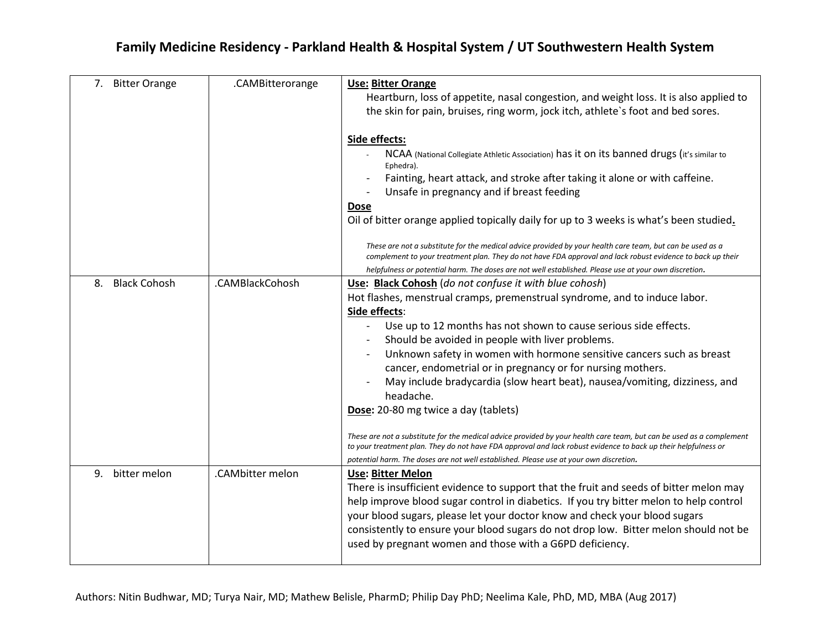| 7. Bitter Orange          | .CAMBitterorange | <b>Use: Bitter Orange</b>                                                                                            |
|---------------------------|------------------|----------------------------------------------------------------------------------------------------------------------|
|                           |                  | Heartburn, loss of appetite, nasal congestion, and weight loss. It is also applied to                                |
|                           |                  | the skin for pain, bruises, ring worm, jock itch, athlete's foot and bed sores.                                      |
|                           |                  |                                                                                                                      |
|                           |                  | Side effects:                                                                                                        |
|                           |                  | NCAA (National Collegiate Athletic Association) has it on its banned drugs (it's similar to                          |
|                           |                  | Ephedra).                                                                                                            |
|                           |                  | Fainting, heart attack, and stroke after taking it alone or with caffeine.                                           |
|                           |                  | Unsafe in pregnancy and if breast feeding                                                                            |
|                           |                  | <b>Dose</b>                                                                                                          |
|                           |                  | Oil of bitter orange applied topically daily for up to 3 weeks is what's been studied.                               |
|                           |                  |                                                                                                                      |
|                           |                  | These are not a substitute for the medical advice provided by your health care team, but can be used as a            |
|                           |                  | complement to your treatment plan. They do not have FDA approval and lack robust evidence to back up their           |
|                           |                  | helpfulness or potential harm. The doses are not well established. Please use at your own discretion.                |
| <b>Black Cohosh</b><br>8. | .CAMBlackCohosh  | Use: Black Cohosh (do not confuse it with blue cohosh)                                                               |
|                           |                  | Hot flashes, menstrual cramps, premenstrual syndrome, and to induce labor.                                           |
|                           |                  | Side effects:                                                                                                        |
|                           |                  | Use up to 12 months has not shown to cause serious side effects.                                                     |
|                           |                  | Should be avoided in people with liver problems.                                                                     |
|                           |                  | Unknown safety in women with hormone sensitive cancers such as breast                                                |
|                           |                  | cancer, endometrial or in pregnancy or for nursing mothers.                                                          |
|                           |                  | May include bradycardia (slow heart beat), nausea/vomiting, dizziness, and                                           |
|                           |                  | headache.                                                                                                            |
|                           |                  | Dose: 20-80 mg twice a day (tablets)                                                                                 |
|                           |                  |                                                                                                                      |
|                           |                  | These are not a substitute for the medical advice provided by your health care team, but can be used as a complement |
|                           |                  | to your treatment plan. They do not have FDA approval and lack robust evidence to back up their helpfulness or       |
|                           |                  | potential harm. The doses are not well established. Please use at your own discretion.                               |
| 9. bitter melon           | .CAMbitter melon | <b>Use: Bitter Melon</b>                                                                                             |
|                           |                  | There is insufficient evidence to support that the fruit and seeds of bitter melon may                               |
|                           |                  | help improve blood sugar control in diabetics. If you try bitter melon to help control                               |
|                           |                  | your blood sugars, please let your doctor know and check your blood sugars                                           |
|                           |                  | consistently to ensure your blood sugars do not drop low. Bitter melon should not be                                 |
|                           |                  | used by pregnant women and those with a G6PD deficiency.                                                             |
|                           |                  |                                                                                                                      |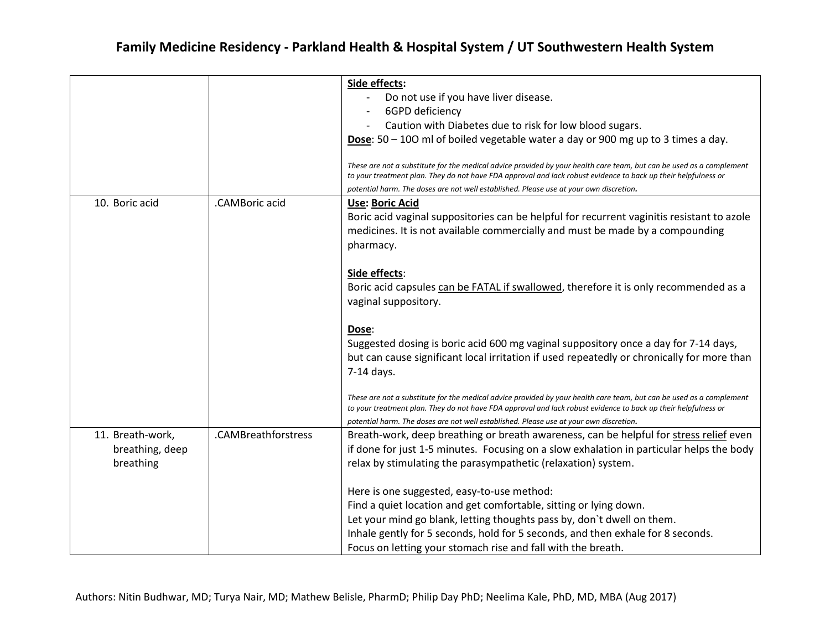|                  |                     | Side effects:                                                                                                                                                                                                                          |
|------------------|---------------------|----------------------------------------------------------------------------------------------------------------------------------------------------------------------------------------------------------------------------------------|
|                  |                     | Do not use if you have liver disease.                                                                                                                                                                                                  |
|                  |                     | 6GPD deficiency                                                                                                                                                                                                                        |
|                  |                     | Caution with Diabetes due to risk for low blood sugars.                                                                                                                                                                                |
|                  |                     | Dose: $50 - 100$ ml of boiled vegetable water a day or 900 mg up to 3 times a day.                                                                                                                                                     |
|                  |                     |                                                                                                                                                                                                                                        |
|                  |                     | These are not a substitute for the medical advice provided by your health care team, but can be used as a complement<br>to your treatment plan. They do not have FDA approval and lack robust evidence to back up their helpfulness or |
|                  |                     | potential harm. The doses are not well established. Please use at your own discretion.                                                                                                                                                 |
| 10. Boric acid   | .CAMBoric acid      | <b>Use: Boric Acid</b>                                                                                                                                                                                                                 |
|                  |                     | Boric acid vaginal suppositories can be helpful for recurrent vaginitis resistant to azole                                                                                                                                             |
|                  |                     | medicines. It is not available commercially and must be made by a compounding                                                                                                                                                          |
|                  |                     | pharmacy.                                                                                                                                                                                                                              |
|                  |                     |                                                                                                                                                                                                                                        |
|                  |                     | Side effects:                                                                                                                                                                                                                          |
|                  |                     | Boric acid capsules can be FATAL if swallowed, therefore it is only recommended as a                                                                                                                                                   |
|                  |                     | vaginal suppository.                                                                                                                                                                                                                   |
|                  |                     |                                                                                                                                                                                                                                        |
|                  |                     | Dose:                                                                                                                                                                                                                                  |
|                  |                     | Suggested dosing is boric acid 600 mg vaginal suppository once a day for 7-14 days,                                                                                                                                                    |
|                  |                     | but can cause significant local irritation if used repeatedly or chronically for more than                                                                                                                                             |
|                  |                     | 7-14 days.                                                                                                                                                                                                                             |
|                  |                     |                                                                                                                                                                                                                                        |
|                  |                     | These are not a substitute for the medical advice provided by your health care team, but can be used as a complement                                                                                                                   |
|                  |                     | to your treatment plan. They do not have FDA approval and lack robust evidence to back up their helpfulness or                                                                                                                         |
|                  | .CAMBreathforstress | potential harm. The doses are not well established. Please use at your own discretion.                                                                                                                                                 |
| 11. Breath-work, |                     | Breath-work, deep breathing or breath awareness, can be helpful for stress relief even                                                                                                                                                 |
| breathing, deep  |                     | if done for just 1-5 minutes. Focusing on a slow exhalation in particular helps the body                                                                                                                                               |
| breathing        |                     | relax by stimulating the parasympathetic (relaxation) system.                                                                                                                                                                          |
|                  |                     |                                                                                                                                                                                                                                        |
|                  |                     | Here is one suggested, easy-to-use method:                                                                                                                                                                                             |
|                  |                     | Find a quiet location and get comfortable, sitting or lying down.                                                                                                                                                                      |
|                  |                     | Let your mind go blank, letting thoughts pass by, don't dwell on them.                                                                                                                                                                 |
|                  |                     | Inhale gently for 5 seconds, hold for 5 seconds, and then exhale for 8 seconds.                                                                                                                                                        |
|                  |                     | Focus on letting your stomach rise and fall with the breath.                                                                                                                                                                           |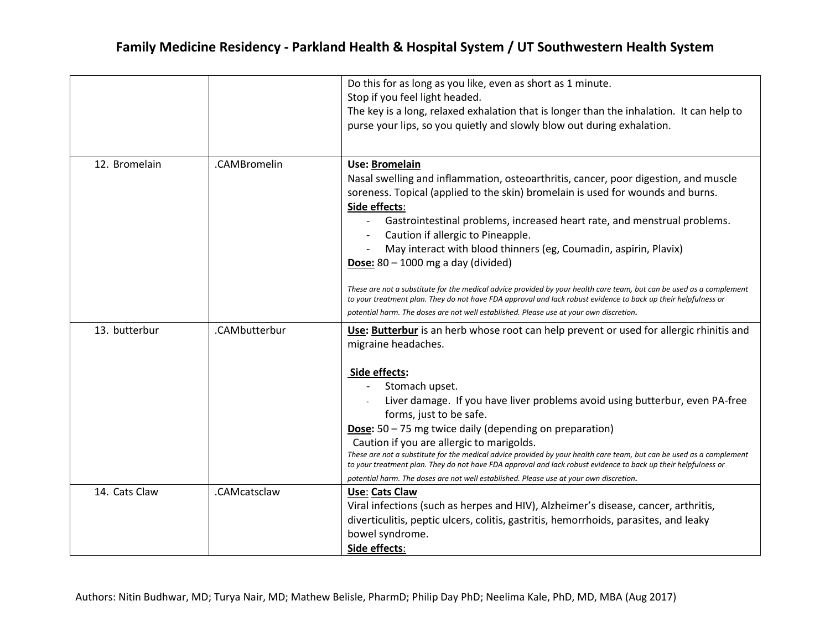|               |               | Do this for as long as you like, even as short as 1 minute.<br>Stop if you feel light headed.<br>The key is a long, relaxed exhalation that is longer than the inhalation. It can help to<br>purse your lips, so you quietly and slowly blow out during exhalation.                                                                                                                                                                                                                                                                                                                                                                                                                                                                                                                      |
|---------------|---------------|------------------------------------------------------------------------------------------------------------------------------------------------------------------------------------------------------------------------------------------------------------------------------------------------------------------------------------------------------------------------------------------------------------------------------------------------------------------------------------------------------------------------------------------------------------------------------------------------------------------------------------------------------------------------------------------------------------------------------------------------------------------------------------------|
| 12. Bromelain | .CAMBromelin  | <b>Use: Bromelain</b><br>Nasal swelling and inflammation, osteoarthritis, cancer, poor digestion, and muscle<br>soreness. Topical (applied to the skin) bromelain is used for wounds and burns.<br>Side effects:<br>Gastrointestinal problems, increased heart rate, and menstrual problems.<br>Caution if allergic to Pineapple.<br>May interact with blood thinners (eg, Coumadin, aspirin, Plavix)<br><b>Dose:</b> $80 - 1000$ mg a day (divided)<br>These are not a substitute for the medical advice provided by your health care team, but can be used as a complement<br>to your treatment plan. They do not have FDA approval and lack robust evidence to back up their helpfulness or<br>potential harm. The doses are not well established. Please use at your own discretion. |
| 13. butterbur | .CAMbutterbur | Use: Butterbur is an herb whose root can help prevent or used for allergic rhinitis and<br>migraine headaches.<br>Side effects:<br>Stomach upset.<br>Liver damage. If you have liver problems avoid using butterbur, even PA-free<br>forms, just to be safe.<br>Dose: 50 - 75 mg twice daily (depending on preparation)<br>Caution if you are allergic to marigolds.<br>These are not a substitute for the medical advice provided by your health care team, but can be used as a complement<br>to your treatment plan. They do not have FDA approval and lack robust evidence to back up their helpfulness or<br>potential harm. The doses are not well established. Please use at your own discretion.                                                                                 |
| 14. Cats Claw | .CAMcatsclaw  | Use: Cats Claw<br>Viral infections (such as herpes and HIV), Alzheimer's disease, cancer, arthritis,<br>diverticulitis, peptic ulcers, colitis, gastritis, hemorrhoids, parasites, and leaky<br>bowel syndrome.<br>Side effects:                                                                                                                                                                                                                                                                                                                                                                                                                                                                                                                                                         |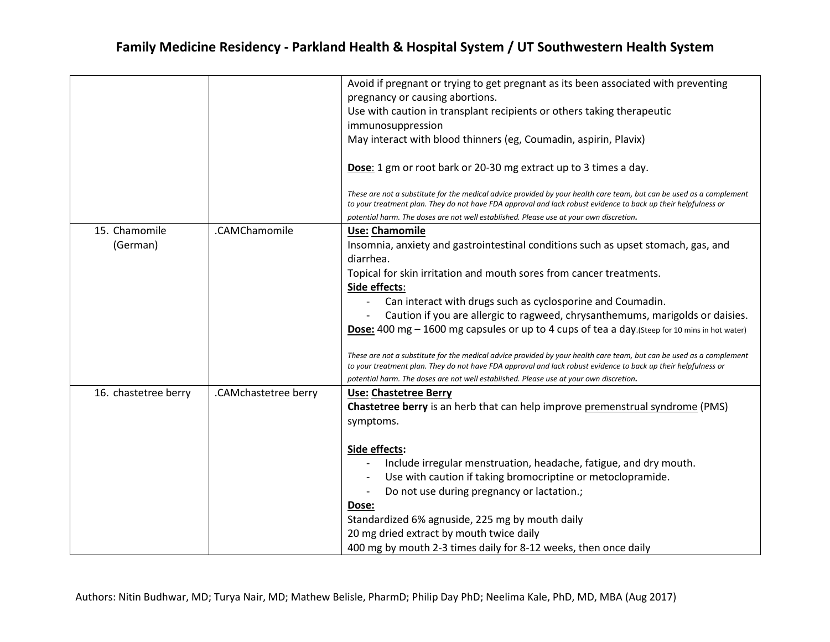|                      |                      | Avoid if pregnant or trying to get pregnant as its been associated with preventing                                                                                                                                                     |
|----------------------|----------------------|----------------------------------------------------------------------------------------------------------------------------------------------------------------------------------------------------------------------------------------|
|                      |                      | pregnancy or causing abortions.                                                                                                                                                                                                        |
|                      |                      | Use with caution in transplant recipients or others taking therapeutic                                                                                                                                                                 |
|                      |                      | immunosuppression                                                                                                                                                                                                                      |
|                      |                      | May interact with blood thinners (eg, Coumadin, aspirin, Plavix)                                                                                                                                                                       |
|                      |                      | Dose: 1 gm or root bark or 20-30 mg extract up to 3 times a day.                                                                                                                                                                       |
|                      |                      | These are not a substitute for the medical advice provided by your health care team, but can be used as a complement<br>to your treatment plan. They do not have FDA approval and lack robust evidence to back up their helpfulness or |
|                      |                      | potential harm. The doses are not well established. Please use at your own discretion.                                                                                                                                                 |
| 15. Chamomile        | .CAMChamomile        | <b>Use: Chamomile</b>                                                                                                                                                                                                                  |
| (German)             |                      | Insomnia, anxiety and gastrointestinal conditions such as upset stomach, gas, and<br>diarrhea.                                                                                                                                         |
|                      |                      | Topical for skin irritation and mouth sores from cancer treatments.                                                                                                                                                                    |
|                      |                      | Side effects:                                                                                                                                                                                                                          |
|                      |                      | Can interact with drugs such as cyclosporine and Coumadin.<br>$\overline{\phantom{a}}$                                                                                                                                                 |
|                      |                      | Caution if you are allergic to ragweed, chrysanthemums, marigolds or daisies.                                                                                                                                                          |
|                      |                      | <b>Dose:</b> 400 mg $-$ 1600 mg capsules or up to 4 cups of tea a day. (Steep for 10 mins in hot water)                                                                                                                                |
|                      |                      |                                                                                                                                                                                                                                        |
|                      |                      | These are not a substitute for the medical advice provided by your health care team, but can be used as a complement<br>to your treatment plan. They do not have FDA approval and lack robust evidence to back up their helpfulness or |
|                      |                      | potential harm. The doses are not well established. Please use at your own discretion.                                                                                                                                                 |
| 16. chastetree berry | .CAMchastetree berry | <b>Use: Chastetree Berry</b>                                                                                                                                                                                                           |
|                      |                      | Chastetree berry is an herb that can help improve premenstrual syndrome (PMS)                                                                                                                                                          |
|                      |                      | symptoms.                                                                                                                                                                                                                              |
|                      |                      |                                                                                                                                                                                                                                        |
|                      |                      | Side effects:                                                                                                                                                                                                                          |
|                      |                      | Include irregular menstruation, headache, fatigue, and dry mouth.                                                                                                                                                                      |
|                      |                      | Use with caution if taking bromocriptine or metoclopramide.                                                                                                                                                                            |
|                      |                      | Do not use during pregnancy or lactation.;                                                                                                                                                                                             |
|                      |                      | Dose:                                                                                                                                                                                                                                  |
|                      |                      | Standardized 6% agnuside, 225 mg by mouth daily                                                                                                                                                                                        |
|                      |                      | 20 mg dried extract by mouth twice daily                                                                                                                                                                                               |
|                      |                      | 400 mg by mouth 2-3 times daily for 8-12 weeks, then once daily                                                                                                                                                                        |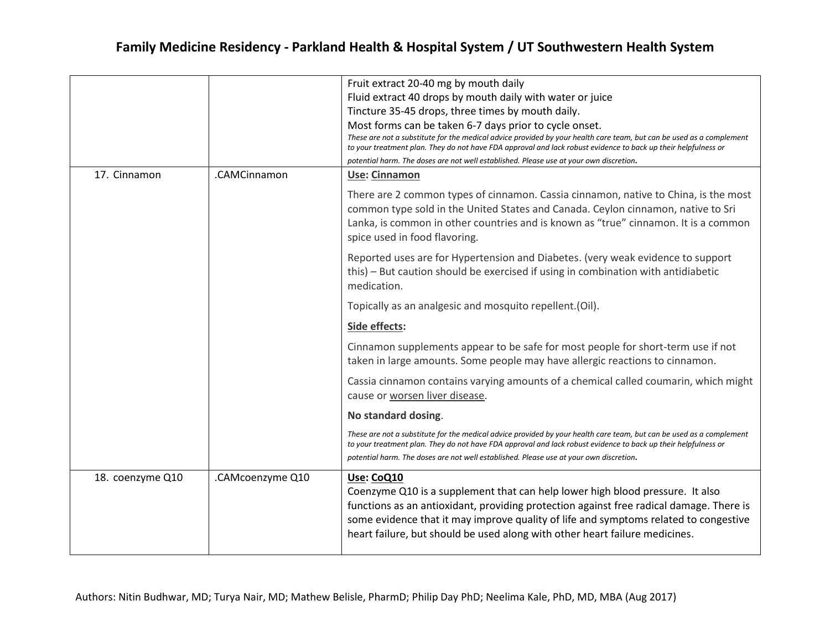|                  |                  | Fruit extract 20-40 mg by mouth daily<br>Fluid extract 40 drops by mouth daily with water or juice<br>Tincture 35-45 drops, three times by mouth daily.<br>Most forms can be taken 6-7 days prior to cycle onset.<br>These are not a substitute for the medical advice provided by your health care team, but can be used as a complement<br>to your treatment plan. They do not have FDA approval and lack robust evidence to back up their helpfulness or<br>potential harm. The doses are not well established. Please use at your own discretion. |
|------------------|------------------|-------------------------------------------------------------------------------------------------------------------------------------------------------------------------------------------------------------------------------------------------------------------------------------------------------------------------------------------------------------------------------------------------------------------------------------------------------------------------------------------------------------------------------------------------------|
| 17. Cinnamon     | .CAMCinnamon     | Use: Cinnamon                                                                                                                                                                                                                                                                                                                                                                                                                                                                                                                                         |
|                  |                  | There are 2 common types of cinnamon. Cassia cinnamon, native to China, is the most<br>common type sold in the United States and Canada. Ceylon cinnamon, native to Sri<br>Lanka, is common in other countries and is known as "true" cinnamon. It is a common<br>spice used in food flavoring.                                                                                                                                                                                                                                                       |
|                  |                  | Reported uses are for Hypertension and Diabetes. (very weak evidence to support<br>this) - But caution should be exercised if using in combination with antidiabetic<br>medication.                                                                                                                                                                                                                                                                                                                                                                   |
|                  |                  | Topically as an analgesic and mosquito repellent.(Oil).                                                                                                                                                                                                                                                                                                                                                                                                                                                                                               |
|                  |                  | Side effects:                                                                                                                                                                                                                                                                                                                                                                                                                                                                                                                                         |
|                  |                  | Cinnamon supplements appear to be safe for most people for short-term use if not<br>taken in large amounts. Some people may have allergic reactions to cinnamon.                                                                                                                                                                                                                                                                                                                                                                                      |
|                  |                  | Cassia cinnamon contains varying amounts of a chemical called coumarin, which might<br>cause or worsen liver disease.                                                                                                                                                                                                                                                                                                                                                                                                                                 |
|                  |                  | No standard dosing.                                                                                                                                                                                                                                                                                                                                                                                                                                                                                                                                   |
|                  |                  | These are not a substitute for the medical advice provided by your health care team, but can be used as a complement<br>to your treatment plan. They do not have FDA approval and lack robust evidence to back up their helpfulness or<br>potential harm. The doses are not well established. Please use at your own discretion.                                                                                                                                                                                                                      |
| 18. coenzyme Q10 | .CAMcoenzyme Q10 | Use: CoQ10<br>Coenzyme Q10 is a supplement that can help lower high blood pressure. It also<br>functions as an antioxidant, providing protection against free radical damage. There is<br>some evidence that it may improve quality of life and symptoms related to congestive<br>heart failure, but should be used along with other heart failure medicines.                                                                                                                                                                                         |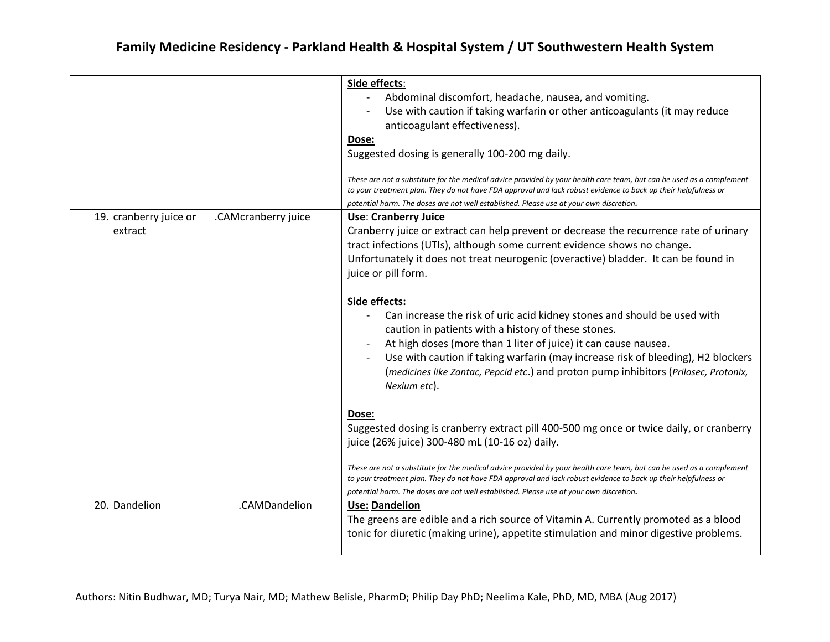|                                   |                     | Side effects:<br>Abdominal discomfort, headache, nausea, and vomiting.<br>Use with caution if taking warfarin or other anticoagulants (it may reduce<br>anticoagulant effectiveness).<br>Dose:<br>Suggested dosing is generally 100-200 mg daily.<br>These are not a substitute for the medical advice provided by your health care team, but can be used as a complement<br>to your treatment plan. They do not have FDA approval and lack robust evidence to back up their helpfulness or<br>potential harm. The doses are not well established. Please use at your own discretion.                                                                                                                                                                                                                                                                                                                                                                                                                                                                                                                                                                                                                                        |
|-----------------------------------|---------------------|------------------------------------------------------------------------------------------------------------------------------------------------------------------------------------------------------------------------------------------------------------------------------------------------------------------------------------------------------------------------------------------------------------------------------------------------------------------------------------------------------------------------------------------------------------------------------------------------------------------------------------------------------------------------------------------------------------------------------------------------------------------------------------------------------------------------------------------------------------------------------------------------------------------------------------------------------------------------------------------------------------------------------------------------------------------------------------------------------------------------------------------------------------------------------------------------------------------------------|
| 19. cranberry juice or<br>extract | .CAMcranberry juice | <b>Use: Cranberry Juice</b><br>Cranberry juice or extract can help prevent or decrease the recurrence rate of urinary<br>tract infections (UTIs), although some current evidence shows no change.<br>Unfortunately it does not treat neurogenic (overactive) bladder. It can be found in<br>juice or pill form.<br>Side effects:<br>Can increase the risk of uric acid kidney stones and should be used with<br>caution in patients with a history of these stones.<br>At high doses (more than 1 liter of juice) it can cause nausea.<br>Use with caution if taking warfarin (may increase risk of bleeding), H2 blockers<br>(medicines like Zantac, Pepcid etc.) and proton pump inhibitors (Prilosec, Protonix,<br>Nexium etc).<br>Dose:<br>Suggested dosing is cranberry extract pill 400-500 mg once or twice daily, or cranberry<br>juice (26% juice) 300-480 mL (10-16 oz) daily.<br>These are not a substitute for the medical advice provided by your health care team, but can be used as a complement<br>to your treatment plan. They do not have FDA approval and lack robust evidence to back up their helpfulness or<br>potential harm. The doses are not well established. Please use at your own discretion. |
| 20. Dandelion                     | .CAMDandelion       | <b>Use: Dandelion</b><br>The greens are edible and a rich source of Vitamin A. Currently promoted as a blood<br>tonic for diuretic (making urine), appetite stimulation and minor digestive problems.                                                                                                                                                                                                                                                                                                                                                                                                                                                                                                                                                                                                                                                                                                                                                                                                                                                                                                                                                                                                                        |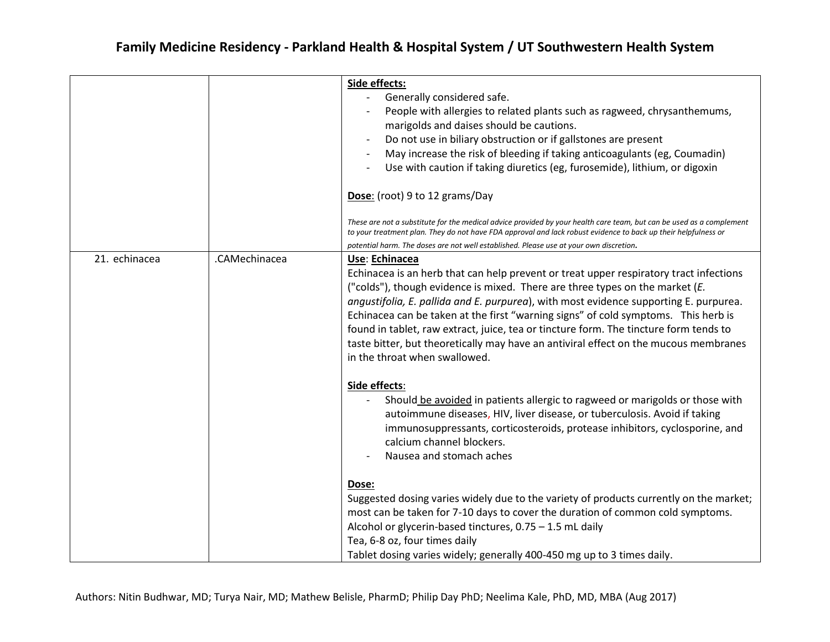|               |               | Side effects:<br>Generally considered safe.<br>People with allergies to related plants such as ragweed, chrysanthemums,<br>marigolds and daises should be cautions.<br>Do not use in biliary obstruction or if gallstones are present<br>May increase the risk of bleeding if taking anticoagulants (eg, Coumadin)<br>Use with caution if taking diuretics (eg, furosemide), lithium, or digoxin<br>$\overline{\phantom{a}}$<br>Dose: (root) 9 to 12 grams/Day<br>These are not a substitute for the medical advice provided by your health care team, but can be used as a complement<br>to your treatment plan. They do not have FDA approval and lack robust evidence to back up their helpfulness or<br>potential harm. The doses are not well established. Please use at your own discretion. |
|---------------|---------------|----------------------------------------------------------------------------------------------------------------------------------------------------------------------------------------------------------------------------------------------------------------------------------------------------------------------------------------------------------------------------------------------------------------------------------------------------------------------------------------------------------------------------------------------------------------------------------------------------------------------------------------------------------------------------------------------------------------------------------------------------------------------------------------------------|
| 21. echinacea | .CAMechinacea | Use: Echinacea<br>Echinacea is an herb that can help prevent or treat upper respiratory tract infections<br>("colds"), though evidence is mixed. There are three types on the market (E.<br>angustifolia, E. pallida and E. purpurea), with most evidence supporting E. purpurea.<br>Echinacea can be taken at the first "warning signs" of cold symptoms. This herb is<br>found in tablet, raw extract, juice, tea or tincture form. The tincture form tends to<br>taste bitter, but theoretically may have an antiviral effect on the mucous membranes<br>in the throat when swallowed.                                                                                                                                                                                                          |
|               |               | Side effects:<br>Should be avoided in patients allergic to ragweed or marigolds or those with<br>autoimmune diseases, HIV, liver disease, or tuberculosis. Avoid if taking<br>immunosuppressants, corticosteroids, protease inhibitors, cyclosporine, and<br>calcium channel blockers.<br>Nausea and stomach aches                                                                                                                                                                                                                                                                                                                                                                                                                                                                                 |
|               |               | Dose:<br>Suggested dosing varies widely due to the variety of products currently on the market;<br>most can be taken for 7-10 days to cover the duration of common cold symptoms.<br>Alcohol or glycerin-based tinctures, 0.75 - 1.5 mL daily<br>Tea, 6-8 oz, four times daily<br>Tablet dosing varies widely; generally 400-450 mg up to 3 times daily.                                                                                                                                                                                                                                                                                                                                                                                                                                           |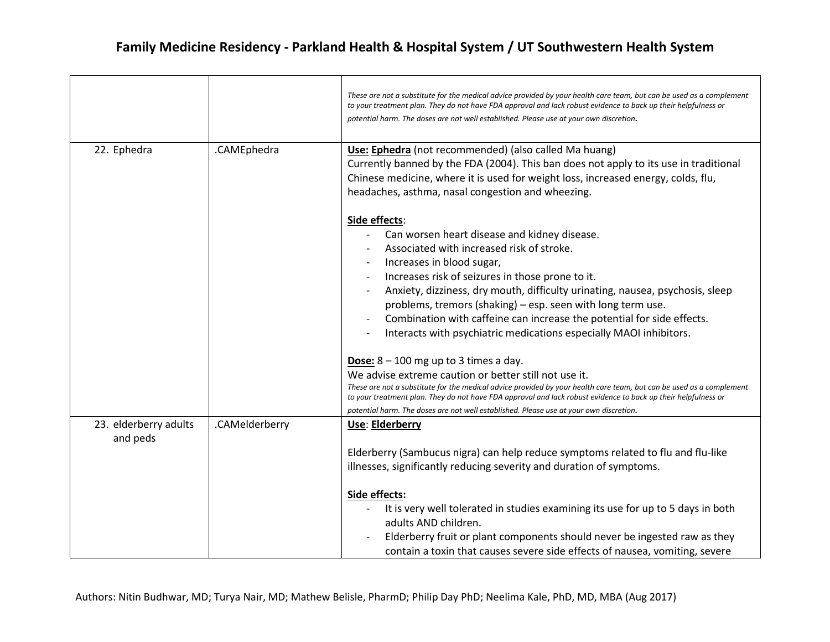|                                   |                | These are not a substitute for the medical advice provided by your health care team, but can be used as a complement<br>to your treatment plan. They do not have FDA approval and lack robust evidence to back up their helpfulness or<br>potential harm. The doses are not well established. Please use at your own discretion.                                                                                                                                                            |
|-----------------------------------|----------------|---------------------------------------------------------------------------------------------------------------------------------------------------------------------------------------------------------------------------------------------------------------------------------------------------------------------------------------------------------------------------------------------------------------------------------------------------------------------------------------------|
| 22. Ephedra                       | .CAMEphedra    | Use: Ephedra (not recommended) (also called Ma huang)<br>Currently banned by the FDA (2004). This ban does not apply to its use in traditional<br>Chinese medicine, where it is used for weight loss, increased energy, colds, flu,<br>headaches, asthma, nasal congestion and wheezing.                                                                                                                                                                                                    |
|                                   |                | Side effects:<br>Can worsen heart disease and kidney disease.<br>Associated with increased risk of stroke.<br>Increases in blood sugar,<br>Increases risk of seizures in those prone to it.<br>Anxiety, dizziness, dry mouth, difficulty urinating, nausea, psychosis, sleep<br>problems, tremors (shaking) – esp. seen with long term use.<br>Combination with caffeine can increase the potential for side effects.<br>Interacts with psychiatric medications especially MAOI inhibitors. |
|                                   |                | Dose: $8 - 100$ mg up to 3 times a day.<br>We advise extreme caution or better still not use it.<br>These are not a substitute for the medical advice provided by your health care team, but can be used as a complement<br>to your treatment plan. They do not have FDA approval and lack robust evidence to back up their helpfulness or<br>potential harm. The doses are not well established. Please use at your own discretion.                                                        |
| 23. elderberry adults<br>and peds | .CAMelderberry | Use: Elderberry<br>Elderberry (Sambucus nigra) can help reduce symptoms related to flu and flu-like<br>illnesses, significantly reducing severity and duration of symptoms.                                                                                                                                                                                                                                                                                                                 |
|                                   |                | Side effects:<br>It is very well tolerated in studies examining its use for up to 5 days in both<br>adults AND children.<br>Elderberry fruit or plant components should never be ingested raw as they<br>contain a toxin that causes severe side effects of nausea, vomiting, severe                                                                                                                                                                                                        |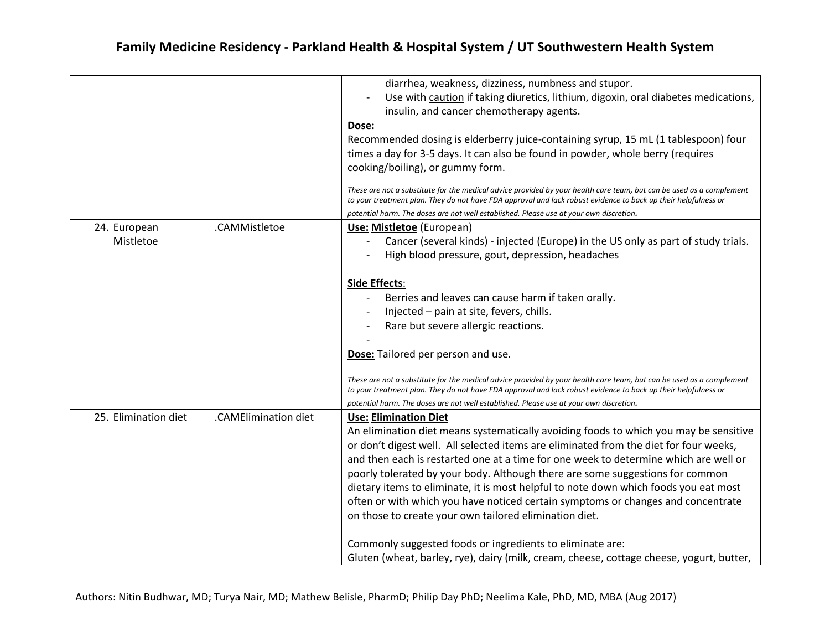|                      |                      | diarrhea, weakness, dizziness, numbness and stupor.                                                                                                                                                                                                                                                                              |
|----------------------|----------------------|----------------------------------------------------------------------------------------------------------------------------------------------------------------------------------------------------------------------------------------------------------------------------------------------------------------------------------|
|                      |                      | Use with caution if taking diuretics, lithium, digoxin, oral diabetes medications,<br>$\overline{\phantom{a}}$                                                                                                                                                                                                                   |
|                      |                      | insulin, and cancer chemotherapy agents.                                                                                                                                                                                                                                                                                         |
|                      |                      | Dose:                                                                                                                                                                                                                                                                                                                            |
|                      |                      | Recommended dosing is elderberry juice-containing syrup, 15 mL (1 tablespoon) four                                                                                                                                                                                                                                               |
|                      |                      | times a day for 3-5 days. It can also be found in powder, whole berry (requires                                                                                                                                                                                                                                                  |
|                      |                      | cooking/boiling), or gummy form.                                                                                                                                                                                                                                                                                                 |
|                      |                      | These are not a substitute for the medical advice provided by your health care team, but can be used as a complement<br>to your treatment plan. They do not have FDA approval and lack robust evidence to back up their helpfulness or<br>potential harm. The doses are not well established. Please use at your own discretion. |
| 24. European         | .CAMMistletoe        | Use: Mistletoe (European)                                                                                                                                                                                                                                                                                                        |
| Mistletoe            |                      | Cancer (several kinds) - injected (Europe) in the US only as part of study trials.<br>$\overline{\phantom{a}}$                                                                                                                                                                                                                   |
|                      |                      | High blood pressure, gout, depression, headaches                                                                                                                                                                                                                                                                                 |
|                      |                      |                                                                                                                                                                                                                                                                                                                                  |
|                      |                      | <b>Side Effects:</b>                                                                                                                                                                                                                                                                                                             |
|                      |                      | Berries and leaves can cause harm if taken orally.                                                                                                                                                                                                                                                                               |
|                      |                      | Injected - pain at site, fevers, chills.                                                                                                                                                                                                                                                                                         |
|                      |                      | Rare but severe allergic reactions.                                                                                                                                                                                                                                                                                              |
|                      |                      |                                                                                                                                                                                                                                                                                                                                  |
|                      |                      | Dose: Tailored per person and use.                                                                                                                                                                                                                                                                                               |
|                      |                      | These are not a substitute for the medical advice provided by your health care team, but can be used as a complement<br>to your treatment plan. They do not have FDA approval and lack robust evidence to back up their helpfulness or                                                                                           |
|                      |                      | potential harm. The doses are not well established. Please use at your own discretion.                                                                                                                                                                                                                                           |
| 25. Elimination diet | .CAMElimination diet | <b>Use: Elimination Diet</b>                                                                                                                                                                                                                                                                                                     |
|                      |                      | An elimination diet means systematically avoiding foods to which you may be sensitive                                                                                                                                                                                                                                            |
|                      |                      | or don't digest well. All selected items are eliminated from the diet for four weeks,                                                                                                                                                                                                                                            |
|                      |                      | and then each is restarted one at a time for one week to determine which are well or                                                                                                                                                                                                                                             |
|                      |                      | poorly tolerated by your body. Although there are some suggestions for common                                                                                                                                                                                                                                                    |
|                      |                      | dietary items to eliminate, it is most helpful to note down which foods you eat most                                                                                                                                                                                                                                             |
|                      |                      | often or with which you have noticed certain symptoms or changes and concentrate                                                                                                                                                                                                                                                 |
|                      |                      | on those to create your own tailored elimination diet.                                                                                                                                                                                                                                                                           |
|                      |                      | Commonly suggested foods or ingredients to eliminate are:                                                                                                                                                                                                                                                                        |
|                      |                      | Gluten (wheat, barley, rye), dairy (milk, cream, cheese, cottage cheese, yogurt, butter,                                                                                                                                                                                                                                         |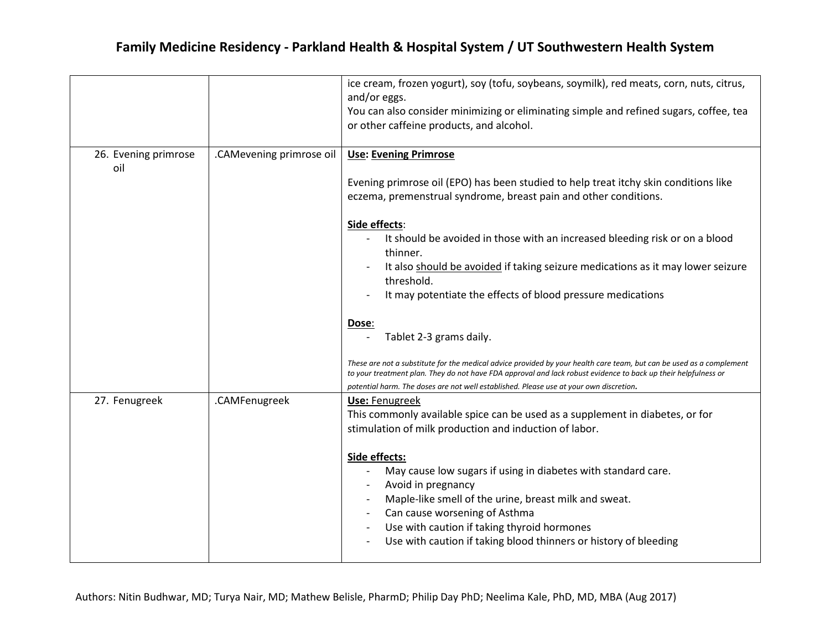|                             |                          | ice cream, frozen yogurt), soy (tofu, soybeans, soymilk), red meats, corn, nuts, citrus,<br>and/or eggs.<br>You can also consider minimizing or eliminating simple and refined sugars, coffee, tea<br>or other caffeine products, and alcohol.                                                                                                                                                                                                                                                                                                                                                                                                                                                                                                                                                                                               |
|-----------------------------|--------------------------|----------------------------------------------------------------------------------------------------------------------------------------------------------------------------------------------------------------------------------------------------------------------------------------------------------------------------------------------------------------------------------------------------------------------------------------------------------------------------------------------------------------------------------------------------------------------------------------------------------------------------------------------------------------------------------------------------------------------------------------------------------------------------------------------------------------------------------------------|
| 26. Evening primrose<br>oil | .CAMevening primrose oil | <b>Use: Evening Primrose</b><br>Evening primrose oil (EPO) has been studied to help treat itchy skin conditions like<br>eczema, premenstrual syndrome, breast pain and other conditions.<br>Side effects:<br>It should be avoided in those with an increased bleeding risk or on a blood<br>thinner.<br>It also should be avoided if taking seizure medications as it may lower seizure<br>threshold.<br>It may potentiate the effects of blood pressure medications<br>Dose:<br>Tablet 2-3 grams daily.<br>These are not a substitute for the medical advice provided by your health care team, but can be used as a complement<br>to your treatment plan. They do not have FDA approval and lack robust evidence to back up their helpfulness or<br>potential harm. The doses are not well established. Please use at your own discretion. |
| 27. Fenugreek               | .CAMFenugreek            | <b>Use: Fenugreek</b><br>This commonly available spice can be used as a supplement in diabetes, or for<br>stimulation of milk production and induction of labor.<br>Side effects:<br>May cause low sugars if using in diabetes with standard care.<br>Avoid in pregnancy<br>Maple-like smell of the urine, breast milk and sweat.<br>Can cause worsening of Asthma<br>Use with caution if taking thyroid hormones<br>Use with caution if taking blood thinners or history of bleeding                                                                                                                                                                                                                                                                                                                                                        |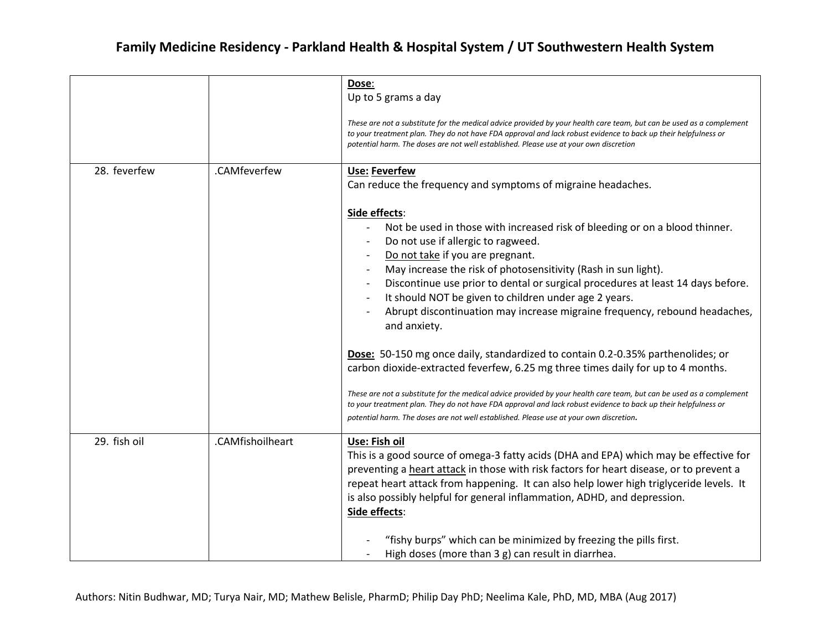|              |                  | Dose:<br>Up to 5 grams a day                                                                                                                                                                                                                                                                                                     |
|--------------|------------------|----------------------------------------------------------------------------------------------------------------------------------------------------------------------------------------------------------------------------------------------------------------------------------------------------------------------------------|
|              |                  | These are not a substitute for the medical advice provided by your health care team, but can be used as a complement<br>to your treatment plan. They do not have FDA approval and lack robust evidence to back up their helpfulness or<br>potential harm. The doses are not well established. Please use at your own discretion  |
| 28. feverfew | .CAMfeverfew     | Use: Feverfew                                                                                                                                                                                                                                                                                                                    |
|              |                  | Can reduce the frequency and symptoms of migraine headaches.                                                                                                                                                                                                                                                                     |
|              |                  | Side effects:<br>Not be used in those with increased risk of bleeding or on a blood thinner.                                                                                                                                                                                                                                     |
|              |                  | Do not use if allergic to ragweed.                                                                                                                                                                                                                                                                                               |
|              |                  | Do not take if you are pregnant.                                                                                                                                                                                                                                                                                                 |
|              |                  | May increase the risk of photosensitivity (Rash in sun light).                                                                                                                                                                                                                                                                   |
|              |                  | Discontinue use prior to dental or surgical procedures at least 14 days before.                                                                                                                                                                                                                                                  |
|              |                  | It should NOT be given to children under age 2 years.<br>$\overline{\phantom{a}}$                                                                                                                                                                                                                                                |
|              |                  | Abrupt discontinuation may increase migraine frequency, rebound headaches,<br>and anxiety.                                                                                                                                                                                                                                       |
|              |                  | Dose: 50-150 mg once daily, standardized to contain 0.2-0.35% parthenolides; or<br>carbon dioxide-extracted feverfew, 6.25 mg three times daily for up to 4 months.                                                                                                                                                              |
|              |                  | These are not a substitute for the medical advice provided by your health care team, but can be used as a complement<br>to your treatment plan. They do not have FDA approval and lack robust evidence to back up their helpfulness or<br>potential harm. The doses are not well established. Please use at your own discretion. |
| 29. fish oil | .CAMfishoilheart | Use: Fish oil                                                                                                                                                                                                                                                                                                                    |
|              |                  | This is a good source of omega-3 fatty acids (DHA and EPA) which may be effective for                                                                                                                                                                                                                                            |
|              |                  | preventing a heart attack in those with risk factors for heart disease, or to prevent a                                                                                                                                                                                                                                          |
|              |                  | repeat heart attack from happening. It can also help lower high triglyceride levels. It<br>is also possibly helpful for general inflammation, ADHD, and depression.                                                                                                                                                              |
|              |                  | Side effects:                                                                                                                                                                                                                                                                                                                    |
|              |                  | "fishy burps" which can be minimized by freezing the pills first.                                                                                                                                                                                                                                                                |
|              |                  | High doses (more than 3 g) can result in diarrhea.                                                                                                                                                                                                                                                                               |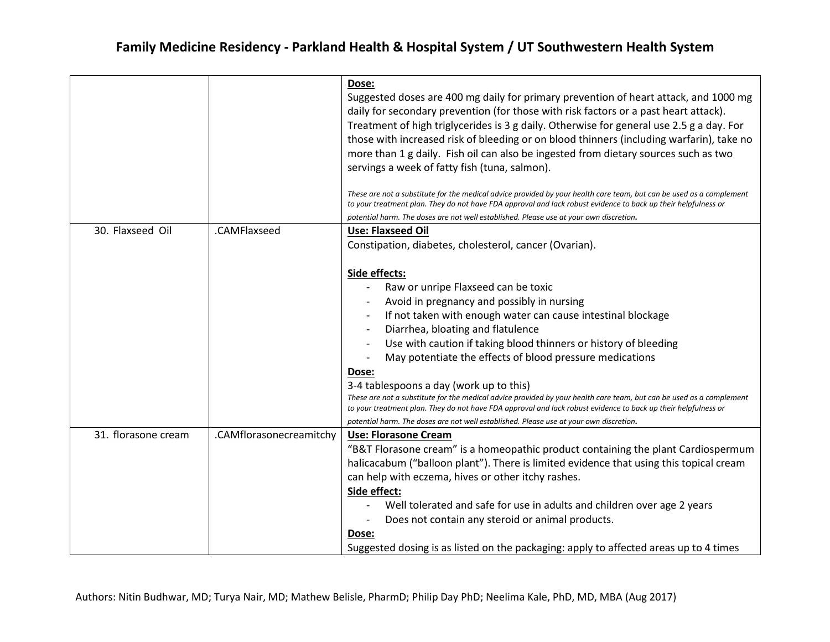|                     |                         | Dose:<br>Suggested doses are 400 mg daily for primary prevention of heart attack, and 1000 mg<br>daily for secondary prevention (for those with risk factors or a past heart attack).<br>Treatment of high triglycerides is 3 g daily. Otherwise for general use 2.5 g a day. For<br>those with increased risk of bleeding or on blood thinners (including warfarin), take no<br>more than 1 g daily. Fish oil can also be ingested from dietary sources such as two<br>servings a week of fatty fish (tuna, salmon).<br>These are not a substitute for the medical advice provided by your health care team, but can be used as a complement<br>to your treatment plan. They do not have FDA approval and lack robust evidence to back up their helpfulness or |
|---------------------|-------------------------|-----------------------------------------------------------------------------------------------------------------------------------------------------------------------------------------------------------------------------------------------------------------------------------------------------------------------------------------------------------------------------------------------------------------------------------------------------------------------------------------------------------------------------------------------------------------------------------------------------------------------------------------------------------------------------------------------------------------------------------------------------------------|
|                     |                         | potential harm. The doses are not well established. Please use at your own discretion.                                                                                                                                                                                                                                                                                                                                                                                                                                                                                                                                                                                                                                                                          |
| 30. Flaxseed Oil    | .CAMFlaxseed            | <b>Use: Flaxseed Oil</b><br>Constipation, diabetes, cholesterol, cancer (Ovarian).                                                                                                                                                                                                                                                                                                                                                                                                                                                                                                                                                                                                                                                                              |
|                     |                         | Side effects:<br>Raw or unripe Flaxseed can be toxic<br>Avoid in pregnancy and possibly in nursing<br>If not taken with enough water can cause intestinal blockage<br>Diarrhea, bloating and flatulence<br>Use with caution if taking blood thinners or history of bleeding<br>May potentiate the effects of blood pressure medications<br>Dose:<br>3-4 tablespoons a day (work up to this)<br>These are not a substitute for the medical advice provided by your health care team, but can be used as a complement<br>to your treatment plan. They do not have FDA approval and lack robust evidence to back up their helpfulness or<br>potential harm. The doses are not well established. Please use at your own discretion.                                 |
| 31. florasone cream | .CAMflorasonecreamitchy | <b>Use: Florasone Cream</b><br>"B&T Florasone cream" is a homeopathic product containing the plant Cardiospermum<br>halicacabum ("balloon plant"). There is limited evidence that using this topical cream<br>can help with eczema, hives or other itchy rashes.<br>Side effect:<br>Well tolerated and safe for use in adults and children over age 2 years<br>Does not contain any steroid or animal products.<br>Dose:<br>Suggested dosing is as listed on the packaging: apply to affected areas up to 4 times                                                                                                                                                                                                                                               |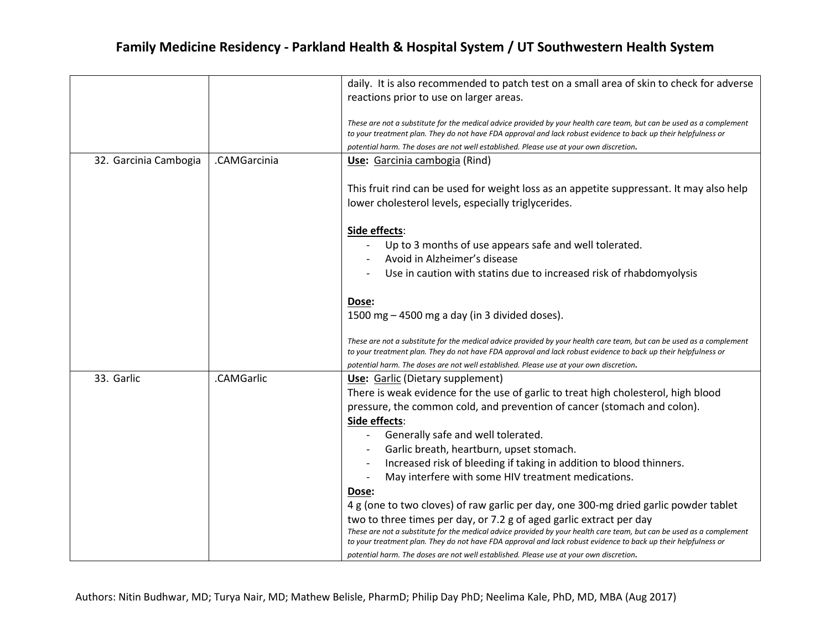|                       |              | daily. It is also recommended to patch test on a small area of skin to check for adverse                                                                                                                                               |
|-----------------------|--------------|----------------------------------------------------------------------------------------------------------------------------------------------------------------------------------------------------------------------------------------|
|                       |              | reactions prior to use on larger areas.                                                                                                                                                                                                |
|                       |              |                                                                                                                                                                                                                                        |
|                       |              | These are not a substitute for the medical advice provided by your health care team, but can be used as a complement<br>to your treatment plan. They do not have FDA approval and lack robust evidence to back up their helpfulness or |
|                       |              | potential harm. The doses are not well established. Please use at your own discretion.                                                                                                                                                 |
| 32. Garcinia Cambogia | .CAMGarcinia | Use: Garcinia cambogia (Rind)                                                                                                                                                                                                          |
|                       |              | This fruit rind can be used for weight loss as an appetite suppressant. It may also help<br>lower cholesterol levels, especially triglycerides.                                                                                        |
|                       |              |                                                                                                                                                                                                                                        |
|                       |              | Side effects:                                                                                                                                                                                                                          |
|                       |              | Up to 3 months of use appears safe and well tolerated.                                                                                                                                                                                 |
|                       |              | Avoid in Alzheimer's disease                                                                                                                                                                                                           |
|                       |              | Use in caution with statins due to increased risk of rhabdomyolysis                                                                                                                                                                    |
|                       |              |                                                                                                                                                                                                                                        |
|                       |              | Dose:                                                                                                                                                                                                                                  |
|                       |              | 1500 mg - 4500 mg a day (in 3 divided doses).                                                                                                                                                                                          |
|                       |              |                                                                                                                                                                                                                                        |
|                       |              | These are not a substitute for the medical advice provided by your health care team, but can be used as a complement<br>to your treatment plan. They do not have FDA approval and lack robust evidence to back up their helpfulness or |
|                       |              | potential harm. The doses are not well established. Please use at your own discretion.                                                                                                                                                 |
| 33. Garlic            | .CAMGarlic   | Use: Garlic (Dietary supplement)                                                                                                                                                                                                       |
|                       |              | There is weak evidence for the use of garlic to treat high cholesterol, high blood                                                                                                                                                     |
|                       |              | pressure, the common cold, and prevention of cancer (stomach and colon).                                                                                                                                                               |
|                       |              | Side effects:                                                                                                                                                                                                                          |
|                       |              | Generally safe and well tolerated.                                                                                                                                                                                                     |
|                       |              | Garlic breath, heartburn, upset stomach.                                                                                                                                                                                               |
|                       |              | Increased risk of bleeding if taking in addition to blood thinners.                                                                                                                                                                    |
|                       |              | May interfere with some HIV treatment medications.                                                                                                                                                                                     |
|                       |              | Dose:                                                                                                                                                                                                                                  |
|                       |              | 4 g (one to two cloves) of raw garlic per day, one 300-mg dried garlic powder tablet                                                                                                                                                   |
|                       |              | two to three times per day, or 7.2 g of aged garlic extract per day                                                                                                                                                                    |
|                       |              | These are not a substitute for the medical advice provided by your health care team, but can be used as a complement                                                                                                                   |
|                       |              | to your treatment plan. They do not have FDA approval and lack robust evidence to back up their helpfulness or                                                                                                                         |
|                       |              | potential harm. The doses are not well established. Please use at your own discretion.                                                                                                                                                 |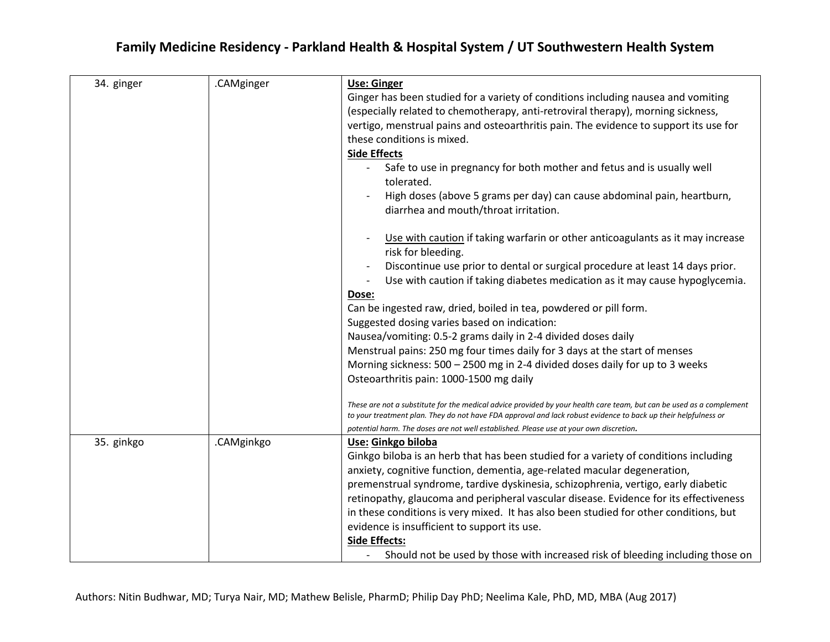| 34. ginger | .CAMginger | Use: Ginger                                                                                                                                                                                                                            |
|------------|------------|----------------------------------------------------------------------------------------------------------------------------------------------------------------------------------------------------------------------------------------|
|            |            | Ginger has been studied for a variety of conditions including nausea and vomiting                                                                                                                                                      |
|            |            | (especially related to chemotherapy, anti-retroviral therapy), morning sickness,                                                                                                                                                       |
|            |            | vertigo, menstrual pains and osteoarthritis pain. The evidence to support its use for                                                                                                                                                  |
|            |            | these conditions is mixed.                                                                                                                                                                                                             |
|            |            |                                                                                                                                                                                                                                        |
|            |            | <b>Side Effects</b>                                                                                                                                                                                                                    |
|            |            | Safe to use in pregnancy for both mother and fetus and is usually well<br>tolerated.                                                                                                                                                   |
|            |            | High doses (above 5 grams per day) can cause abdominal pain, heartburn,                                                                                                                                                                |
|            |            | diarrhea and mouth/throat irritation.                                                                                                                                                                                                  |
|            |            | Use with caution if taking warfarin or other anticoagulants as it may increase                                                                                                                                                         |
|            |            | risk for bleeding.                                                                                                                                                                                                                     |
|            |            | Discontinue use prior to dental or surgical procedure at least 14 days prior.                                                                                                                                                          |
|            |            | Use with caution if taking diabetes medication as it may cause hypoglycemia.<br>$\frac{1}{2}$                                                                                                                                          |
|            |            | Dose:                                                                                                                                                                                                                                  |
|            |            | Can be ingested raw, dried, boiled in tea, powdered or pill form.                                                                                                                                                                      |
|            |            | Suggested dosing varies based on indication:                                                                                                                                                                                           |
|            |            | Nausea/vomiting: 0.5-2 grams daily in 2-4 divided doses daily                                                                                                                                                                          |
|            |            | Menstrual pains: 250 mg four times daily for 3 days at the start of menses                                                                                                                                                             |
|            |            | Morning sickness: 500 - 2500 mg in 2-4 divided doses daily for up to 3 weeks                                                                                                                                                           |
|            |            | Osteoarthritis pain: 1000-1500 mg daily                                                                                                                                                                                                |
|            |            | These are not a substitute for the medical advice provided by your health care team, but can be used as a complement<br>to your treatment plan. They do not have FDA approval and lack robust evidence to back up their helpfulness or |
|            |            | potential harm. The doses are not well established. Please use at your own discretion.                                                                                                                                                 |
| 35. ginkgo | .CAMginkgo | Use: Ginkgo biloba                                                                                                                                                                                                                     |
|            |            | Ginkgo biloba is an herb that has been studied for a variety of conditions including                                                                                                                                                   |
|            |            | anxiety, cognitive function, dementia, age-related macular degeneration,                                                                                                                                                               |
|            |            | premenstrual syndrome, tardive dyskinesia, schizophrenia, vertigo, early diabetic                                                                                                                                                      |
|            |            | retinopathy, glaucoma and peripheral vascular disease. Evidence for its effectiveness                                                                                                                                                  |
|            |            | in these conditions is very mixed. It has also been studied for other conditions, but                                                                                                                                                  |
|            |            | evidence is insufficient to support its use.                                                                                                                                                                                           |
|            |            | <b>Side Effects:</b>                                                                                                                                                                                                                   |
|            |            | Should not be used by those with increased risk of bleeding including those on                                                                                                                                                         |
|            |            |                                                                                                                                                                                                                                        |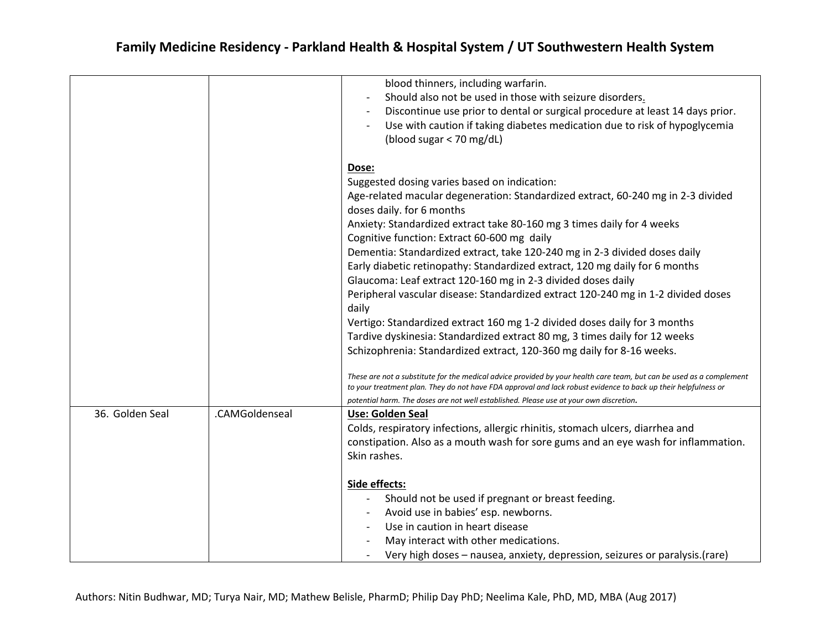|                 |                | blood thinners, including warfarin.<br>Should also not be used in those with seizure disorders.<br>Discontinue use prior to dental or surgical procedure at least 14 days prior.<br>Use with caution if taking diabetes medication due to risk of hypoglycemia<br>(blood sugar $<$ 70 mg/dL)                                                                  |
|-----------------|----------------|---------------------------------------------------------------------------------------------------------------------------------------------------------------------------------------------------------------------------------------------------------------------------------------------------------------------------------------------------------------|
|                 |                | Dose:<br>Suggested dosing varies based on indication:<br>Age-related macular degeneration: Standardized extract, 60-240 mg in 2-3 divided<br>doses daily. for 6 months<br>Anxiety: Standardized extract take 80-160 mg 3 times daily for 4 weeks                                                                                                              |
|                 |                | Cognitive function: Extract 60-600 mg daily<br>Dementia: Standardized extract, take 120-240 mg in 2-3 divided doses daily<br>Early diabetic retinopathy: Standardized extract, 120 mg daily for 6 months<br>Glaucoma: Leaf extract 120-160 mg in 2-3 divided doses daily<br>Peripheral vascular disease: Standardized extract 120-240 mg in 1-2 divided doses |
|                 |                | daily<br>Vertigo: Standardized extract 160 mg 1-2 divided doses daily for 3 months<br>Tardive dyskinesia: Standardized extract 80 mg, 3 times daily for 12 weeks<br>Schizophrenia: Standardized extract, 120-360 mg daily for 8-16 weeks.                                                                                                                     |
|                 |                | These are not a substitute for the medical advice provided by your health care team, but can be used as a complement<br>to your treatment plan. They do not have FDA approval and lack robust evidence to back up their helpfulness or<br>potential harm. The doses are not well established. Please use at your own discretion.                              |
| 36. Golden Seal | .CAMGoldenseal | Use: Golden Seal<br>Colds, respiratory infections, allergic rhinitis, stomach ulcers, diarrhea and<br>constipation. Also as a mouth wash for sore gums and an eye wash for inflammation.<br>Skin rashes.                                                                                                                                                      |
|                 |                | Side effects:<br>Should not be used if pregnant or breast feeding.<br>Avoid use in babies' esp. newborns.<br>Use in caution in heart disease<br>May interact with other medications.<br>Very high doses - nausea, anxiety, depression, seizures or paralysis. (rare)                                                                                          |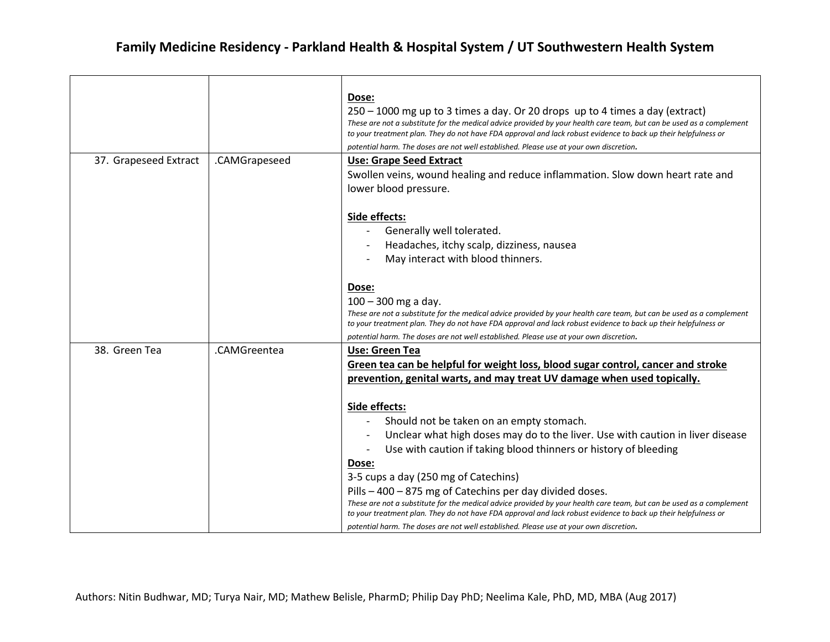|                       |               | Dose:                                                                                                                |
|-----------------------|---------------|----------------------------------------------------------------------------------------------------------------------|
|                       |               | $250 - 1000$ mg up to 3 times a day. Or 20 drops up to 4 times a day (extract)                                       |
|                       |               | These are not a substitute for the medical advice provided by your health care team, but can be used as a complement |
|                       |               | to your treatment plan. They do not have FDA approval and lack robust evidence to back up their helpfulness or       |
|                       |               | potential harm. The doses are not well established. Please use at your own discretion.                               |
| 37. Grapeseed Extract | .CAMGrapeseed | Use: Grape Seed Extract                                                                                              |
|                       |               | Swollen veins, wound healing and reduce inflammation. Slow down heart rate and                                       |
|                       |               | lower blood pressure.                                                                                                |
|                       |               |                                                                                                                      |
|                       |               | Side effects:                                                                                                        |
|                       |               | Generally well tolerated.                                                                                            |
|                       |               | Headaches, itchy scalp, dizziness, nausea                                                                            |
|                       |               | May interact with blood thinners.                                                                                    |
|                       |               |                                                                                                                      |
|                       |               | Dose:                                                                                                                |
|                       |               | $100 - 300$ mg a day.                                                                                                |
|                       |               | These are not a substitute for the medical advice provided by your health care team, but can be used as a complement |
|                       |               | to your treatment plan. They do not have FDA approval and lack robust evidence to back up their helpfulness or       |
|                       |               | potential harm. The doses are not well established. Please use at your own discretion.                               |
| 38. Green Tea         | .CAMGreentea  | Use: Green Tea                                                                                                       |
|                       |               | Green tea can be helpful for weight loss, blood sugar control, cancer and stroke                                     |
|                       |               | prevention, genital warts, and may treat UV damage when used topically.                                              |
|                       |               |                                                                                                                      |
|                       |               | Side effects:                                                                                                        |
|                       |               | Should not be taken on an empty stomach.                                                                             |
|                       |               | Unclear what high doses may do to the liver. Use with caution in liver disease                                       |
|                       |               | Use with caution if taking blood thinners or history of bleeding                                                     |
|                       |               | Dose:                                                                                                                |
|                       |               | 3-5 cups a day (250 mg of Catechins)                                                                                 |
|                       |               | Pills - 400 - 875 mg of Catechins per day divided doses.                                                             |
|                       |               | These are not a substitute for the medical advice provided by your health care team, but can be used as a complement |
|                       |               | to your treatment plan. They do not have FDA approval and lack robust evidence to back up their helpfulness or       |
|                       |               | potential harm. The doses are not well established. Please use at your own discretion.                               |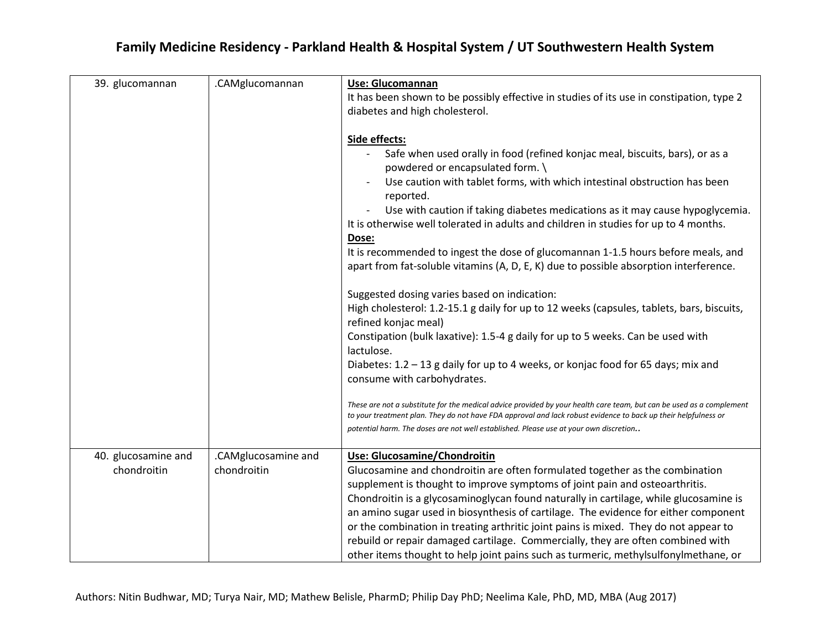|  | Family Medicine Residency - Parkland Health & Hospital System / UT Southwestern Health System |  |
|--|-----------------------------------------------------------------------------------------------|--|
|--|-----------------------------------------------------------------------------------------------|--|

| 39. glucomannan                    | .CAMglucomannan                    | Use: Glucomannan<br>It has been shown to be possibly effective in studies of its use in constipation, type 2<br>diabetes and high cholesterol.                                                                                                                                                                                                                                                                                                                                                                                                                                                                                                                                                                                           |
|------------------------------------|------------------------------------|------------------------------------------------------------------------------------------------------------------------------------------------------------------------------------------------------------------------------------------------------------------------------------------------------------------------------------------------------------------------------------------------------------------------------------------------------------------------------------------------------------------------------------------------------------------------------------------------------------------------------------------------------------------------------------------------------------------------------------------|
|                                    |                                    | Side effects:<br>Safe when used orally in food (refined konjac meal, biscuits, bars), or as a<br>powdered or encapsulated form. \<br>Use caution with tablet forms, with which intestinal obstruction has been<br>reported.<br>Use with caution if taking diabetes medications as it may cause hypoglycemia.<br>It is otherwise well tolerated in adults and children in studies for up to 4 months.<br>Dose:<br>It is recommended to ingest the dose of glucomannan 1-1.5 hours before meals, and<br>apart from fat-soluble vitamins (A, D, E, K) due to possible absorption interference.<br>Suggested dosing varies based on indication:<br>High cholesterol: 1.2-15.1 g daily for up to 12 weeks (capsules, tablets, bars, biscuits, |
|                                    |                                    | refined konjac meal)<br>Constipation (bulk laxative): 1.5-4 g daily for up to 5 weeks. Can be used with<br>lactulose.<br>Diabetes: 1.2 - 13 g daily for up to 4 weeks, or konjac food for 65 days; mix and<br>consume with carbohydrates.                                                                                                                                                                                                                                                                                                                                                                                                                                                                                                |
|                                    |                                    | These are not a substitute for the medical advice provided by your health care team, but can be used as a complement<br>to your treatment plan. They do not have FDA approval and lack robust evidence to back up their helpfulness or<br>potential harm. The doses are not well established. Please use at your own discretion                                                                                                                                                                                                                                                                                                                                                                                                          |
| 40. glucosamine and<br>chondroitin | .CAMglucosamine and<br>chondroitin | Use: Glucosamine/Chondroitin<br>Glucosamine and chondroitin are often formulated together as the combination<br>supplement is thought to improve symptoms of joint pain and osteoarthritis.<br>Chondroitin is a glycosaminoglycan found naturally in cartilage, while glucosamine is<br>an amino sugar used in biosynthesis of cartilage. The evidence for either component<br>or the combination in treating arthritic joint pains is mixed. They do not appear to<br>rebuild or repair damaged cartilage. Commercially, they are often combined with<br>other items thought to help joint pains such as turmeric, methylsulfonylmethane, or                                                                                            |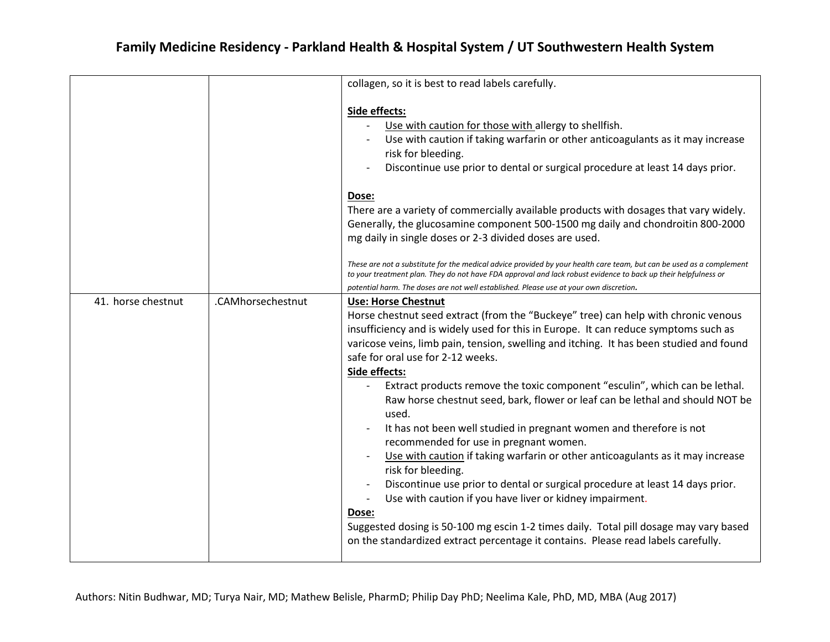|                    |                   | collagen, so it is best to read labels carefully.                                                                                                                                                                                                                                                                                                                                                                                                                                                                                                                                                                                                                                                                                                                                                                                                                                                                                                                                                                                                                                                                          |
|--------------------|-------------------|----------------------------------------------------------------------------------------------------------------------------------------------------------------------------------------------------------------------------------------------------------------------------------------------------------------------------------------------------------------------------------------------------------------------------------------------------------------------------------------------------------------------------------------------------------------------------------------------------------------------------------------------------------------------------------------------------------------------------------------------------------------------------------------------------------------------------------------------------------------------------------------------------------------------------------------------------------------------------------------------------------------------------------------------------------------------------------------------------------------------------|
|                    |                   | Side effects:<br>Use with caution for those with allergy to shellfish.<br>Use with caution if taking warfarin or other anticoagulants as it may increase<br>risk for bleeding.<br>Discontinue use prior to dental or surgical procedure at least 14 days prior.                                                                                                                                                                                                                                                                                                                                                                                                                                                                                                                                                                                                                                                                                                                                                                                                                                                            |
|                    |                   | Dose:<br>There are a variety of commercially available products with dosages that vary widely.<br>Generally, the glucosamine component 500-1500 mg daily and chondroitin 800-2000<br>mg daily in single doses or 2-3 divided doses are used.<br>These are not a substitute for the medical advice provided by your health care team, but can be used as a complement<br>to your treatment plan. They do not have FDA approval and lack robust evidence to back up their helpfulness or                                                                                                                                                                                                                                                                                                                                                                                                                                                                                                                                                                                                                                     |
|                    |                   | potential harm. The doses are not well established. Please use at your own discretion.                                                                                                                                                                                                                                                                                                                                                                                                                                                                                                                                                                                                                                                                                                                                                                                                                                                                                                                                                                                                                                     |
| 41. horse chestnut | .CAMhorsechestnut | <b>Use: Horse Chestnut</b><br>Horse chestnut seed extract (from the "Buckeye" tree) can help with chronic venous<br>insufficiency and is widely used for this in Europe. It can reduce symptoms such as<br>varicose veins, limb pain, tension, swelling and itching. It has been studied and found<br>safe for oral use for 2-12 weeks.<br>Side effects:<br>Extract products remove the toxic component "esculin", which can be lethal.<br>Raw horse chestnut seed, bark, flower or leaf can be lethal and should NOT be<br>used.<br>It has not been well studied in pregnant women and therefore is not<br>recommended for use in pregnant women.<br>Use with caution if taking warfarin or other anticoagulants as it may increase<br>risk for bleeding.<br>Discontinue use prior to dental or surgical procedure at least 14 days prior.<br>Use with caution if you have liver or kidney impairment.<br>$\overline{\phantom{a}}$<br>Dose:<br>Suggested dosing is 50-100 mg escin 1-2 times daily. Total pill dosage may vary based<br>on the standardized extract percentage it contains. Please read labels carefully. |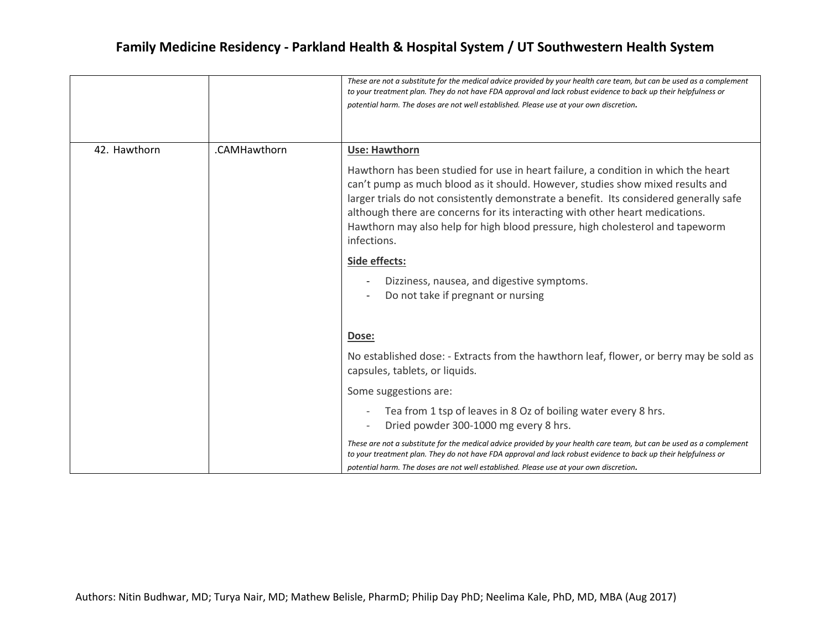|              |              | These are not a substitute for the medical advice provided by your health care team, but can be used as a complement<br>to your treatment plan. They do not have FDA approval and lack robust evidence to back up their helpfulness or<br>potential harm. The doses are not well established. Please use at your own discretion.                                                                                                                |
|--------------|--------------|-------------------------------------------------------------------------------------------------------------------------------------------------------------------------------------------------------------------------------------------------------------------------------------------------------------------------------------------------------------------------------------------------------------------------------------------------|
| 42. Hawthorn | .CAMHawthorn | <b>Use: Hawthorn</b>                                                                                                                                                                                                                                                                                                                                                                                                                            |
|              |              | Hawthorn has been studied for use in heart failure, a condition in which the heart<br>can't pump as much blood as it should. However, studies show mixed results and<br>larger trials do not consistently demonstrate a benefit. Its considered generally safe<br>although there are concerns for its interacting with other heart medications.<br>Hawthorn may also help for high blood pressure, high cholesterol and tapeworm<br>infections. |
|              |              | Side effects:                                                                                                                                                                                                                                                                                                                                                                                                                                   |
|              |              | Dizziness, nausea, and digestive symptoms.<br>Do not take if pregnant or nursing                                                                                                                                                                                                                                                                                                                                                                |
|              |              | Dose:                                                                                                                                                                                                                                                                                                                                                                                                                                           |
|              |              | No established dose: - Extracts from the hawthorn leaf, flower, or berry may be sold as<br>capsules, tablets, or liquids.                                                                                                                                                                                                                                                                                                                       |
|              |              | Some suggestions are:                                                                                                                                                                                                                                                                                                                                                                                                                           |
|              |              | Tea from 1 tsp of leaves in 8 Oz of boiling water every 8 hrs.<br>Dried powder 300-1000 mg every 8 hrs.                                                                                                                                                                                                                                                                                                                                         |
|              |              | These are not a substitute for the medical advice provided by your health care team, but can be used as a complement<br>to your treatment plan. They do not have FDA approval and lack robust evidence to back up their helpfulness or<br>potential harm. The doses are not well established. Please use at your own discretion.                                                                                                                |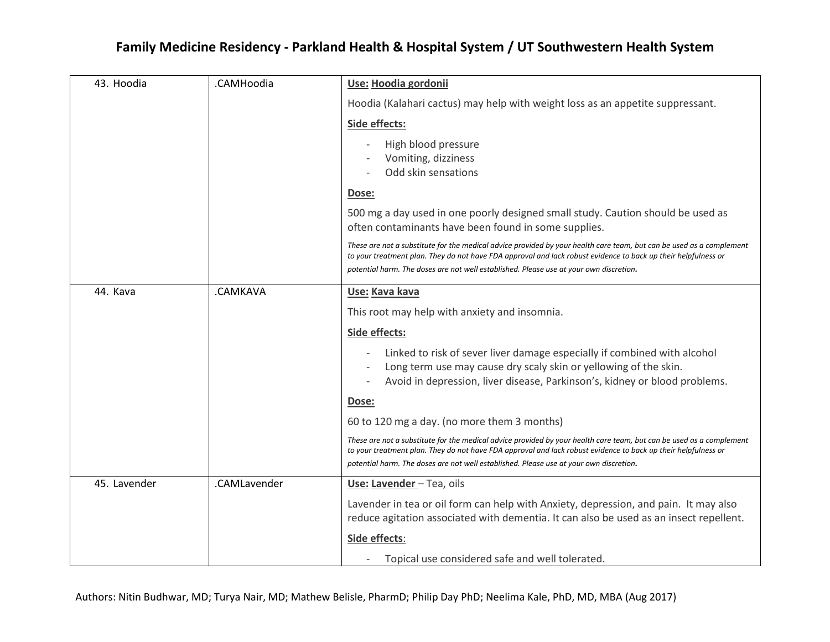| 43. Hoodia   | .CAMHoodia   | Use: Hoodia gordonii                                                                                                                                                                                                                                                                                                             |
|--------------|--------------|----------------------------------------------------------------------------------------------------------------------------------------------------------------------------------------------------------------------------------------------------------------------------------------------------------------------------------|
|              |              | Hoodia (Kalahari cactus) may help with weight loss as an appetite suppressant.                                                                                                                                                                                                                                                   |
|              |              | Side effects:                                                                                                                                                                                                                                                                                                                    |
|              |              | High blood pressure<br>Vomiting, dizziness<br>Odd skin sensations                                                                                                                                                                                                                                                                |
|              |              | <u>Dose:</u>                                                                                                                                                                                                                                                                                                                     |
|              |              | 500 mg a day used in one poorly designed small study. Caution should be used as<br>often contaminants have been found in some supplies.                                                                                                                                                                                          |
|              |              | These are not a substitute for the medical advice provided by your health care team, but can be used as a complement<br>to your treatment plan. They do not have FDA approval and lack robust evidence to back up their helpfulness or<br>potential harm. The doses are not well established. Please use at your own discretion. |
|              |              |                                                                                                                                                                                                                                                                                                                                  |
| 44. Kava     | .CAMKAVA     | Use: Kava kava                                                                                                                                                                                                                                                                                                                   |
|              |              | This root may help with anxiety and insomnia.                                                                                                                                                                                                                                                                                    |
|              |              | Side effects:                                                                                                                                                                                                                                                                                                                    |
|              |              | Linked to risk of sever liver damage especially if combined with alcohol<br>Long term use may cause dry scaly skin or yellowing of the skin.<br>Avoid in depression, liver disease, Parkinson's, kidney or blood problems.                                                                                                       |
|              |              | <u>Dose:</u>                                                                                                                                                                                                                                                                                                                     |
|              |              | 60 to 120 mg a day. (no more them 3 months)                                                                                                                                                                                                                                                                                      |
|              |              | These are not a substitute for the medical advice provided by your health care team, but can be used as a complement<br>to your treatment plan. They do not have FDA approval and lack robust evidence to back up their helpfulness or                                                                                           |
|              |              | potential harm. The doses are not well established. Please use at your own discretion.                                                                                                                                                                                                                                           |
| 45. Lavender | .CAMLavender | Use: Lavender - Tea, oils                                                                                                                                                                                                                                                                                                        |
|              |              | Lavender in tea or oil form can help with Anxiety, depression, and pain. It may also                                                                                                                                                                                                                                             |
|              |              | reduce agitation associated with dementia. It can also be used as an insect repellent.                                                                                                                                                                                                                                           |
|              |              | Side effects:                                                                                                                                                                                                                                                                                                                    |
|              |              | Topical use considered safe and well tolerated.                                                                                                                                                                                                                                                                                  |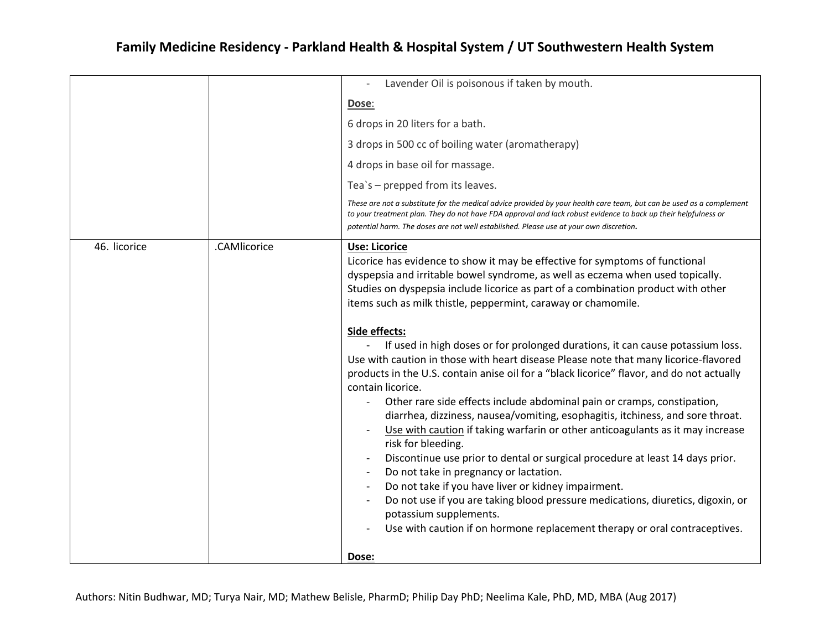|              |              | Lavender Oil is poisonous if taken by mouth.<br>$\overline{a}$                                                                                                                                                                                                                                                                                                                                                                                                                                                                                                                 |
|--------------|--------------|--------------------------------------------------------------------------------------------------------------------------------------------------------------------------------------------------------------------------------------------------------------------------------------------------------------------------------------------------------------------------------------------------------------------------------------------------------------------------------------------------------------------------------------------------------------------------------|
|              |              | Dose:                                                                                                                                                                                                                                                                                                                                                                                                                                                                                                                                                                          |
|              |              | 6 drops in 20 liters for a bath.                                                                                                                                                                                                                                                                                                                                                                                                                                                                                                                                               |
|              |              | 3 drops in 500 cc of boiling water (aromatherapy)                                                                                                                                                                                                                                                                                                                                                                                                                                                                                                                              |
|              |              | 4 drops in base oil for massage.                                                                                                                                                                                                                                                                                                                                                                                                                                                                                                                                               |
|              |              | Tea's - prepped from its leaves.                                                                                                                                                                                                                                                                                                                                                                                                                                                                                                                                               |
|              |              | These are not a substitute for the medical advice provided by your health care team, but can be used as a complement<br>to your treatment plan. They do not have FDA approval and lack robust evidence to back up their helpfulness or<br>potential harm. The doses are not well established. Please use at your own discretion.                                                                                                                                                                                                                                               |
| 46. licorice | .CAMlicorice | Use: Licorice<br>Licorice has evidence to show it may be effective for symptoms of functional<br>dyspepsia and irritable bowel syndrome, as well as eczema when used topically.<br>Studies on dyspepsia include licorice as part of a combination product with other<br>items such as milk thistle, peppermint, caraway or chamomile.                                                                                                                                                                                                                                          |
|              |              | Side effects:<br>If used in high doses or for prolonged durations, it can cause potassium loss.<br>Use with caution in those with heart disease Please note that many licorice-flavored<br>products in the U.S. contain anise oil for a "black licorice" flavor, and do not actually<br>contain licorice.<br>Other rare side effects include abdominal pain or cramps, constipation,<br>diarrhea, dizziness, nausea/vomiting, esophagitis, itchiness, and sore throat.<br>Use with caution if taking warfarin or other anticoagulants as it may increase<br>risk for bleeding. |
|              |              | Discontinue use prior to dental or surgical procedure at least 14 days prior.<br>Do not take in pregnancy or lactation.<br>Do not take if you have liver or kidney impairment.<br>Do not use if you are taking blood pressure medications, diuretics, digoxin, or<br>potassium supplements.<br>Use with caution if on hormone replacement therapy or oral contraceptives.                                                                                                                                                                                                      |
|              |              | Dose:                                                                                                                                                                                                                                                                                                                                                                                                                                                                                                                                                                          |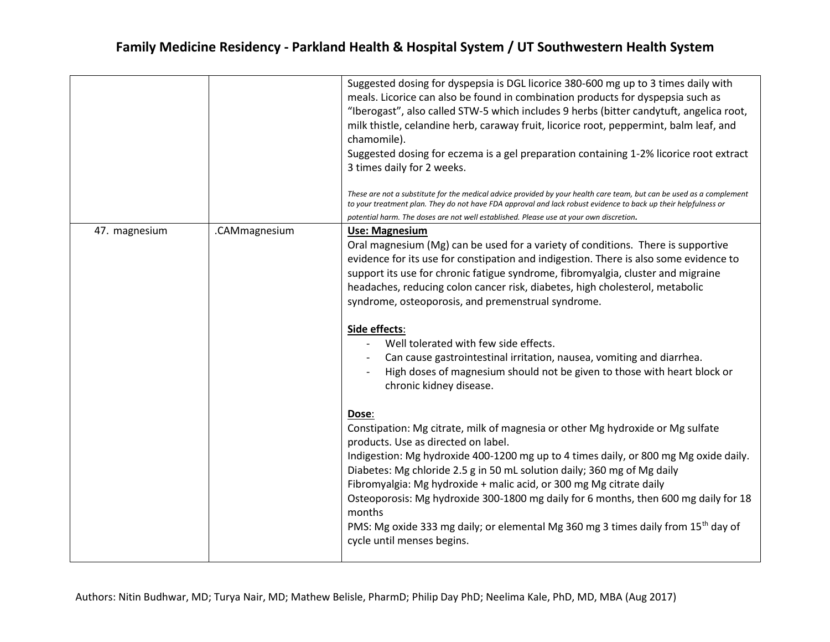|               |               | Suggested dosing for dyspepsia is DGL licorice 380-600 mg up to 3 times daily with<br>meals. Licorice can also be found in combination products for dyspepsia such as<br>"Iberogast", also called STW-5 which includes 9 herbs (bitter candytuft, angelica root,<br>milk thistle, celandine herb, caraway fruit, licorice root, peppermint, balm leaf, and<br>chamomile).<br>Suggested dosing for eczema is a gel preparation containing 1-2% licorice root extract<br>3 times daily for 2 weeks.<br>These are not a substitute for the medical advice provided by your health care team, but can be used as a complement<br>to your treatment plan. They do not have FDA approval and lack robust evidence to back up their helpfulness or<br>potential harm. The doses are not well established. Please use at your own discretion.                                                                                                                                                                                                                                                                                                                                                                                                                                       |
|---------------|---------------|-----------------------------------------------------------------------------------------------------------------------------------------------------------------------------------------------------------------------------------------------------------------------------------------------------------------------------------------------------------------------------------------------------------------------------------------------------------------------------------------------------------------------------------------------------------------------------------------------------------------------------------------------------------------------------------------------------------------------------------------------------------------------------------------------------------------------------------------------------------------------------------------------------------------------------------------------------------------------------------------------------------------------------------------------------------------------------------------------------------------------------------------------------------------------------------------------------------------------------------------------------------------------------|
| 47. magnesium | .CAMmagnesium | Use: Magnesium<br>Oral magnesium (Mg) can be used for a variety of conditions. There is supportive<br>evidence for its use for constipation and indigestion. There is also some evidence to<br>support its use for chronic fatigue syndrome, fibromyalgia, cluster and migraine<br>headaches, reducing colon cancer risk, diabetes, high cholesterol, metabolic<br>syndrome, osteoporosis, and premenstrual syndrome.<br>Side effects:<br>Well tolerated with few side effects.<br>Can cause gastrointestinal irritation, nausea, vomiting and diarrhea.<br>High doses of magnesium should not be given to those with heart block or<br>chronic kidney disease.<br>Dose:<br>Constipation: Mg citrate, milk of magnesia or other Mg hydroxide or Mg sulfate<br>products. Use as directed on label.<br>Indigestion: Mg hydroxide 400-1200 mg up to 4 times daily, or 800 mg Mg oxide daily.<br>Diabetes: Mg chloride 2.5 g in 50 mL solution daily; 360 mg of Mg daily<br>Fibromyalgia: Mg hydroxide + malic acid, or 300 mg Mg citrate daily<br>Osteoporosis: Mg hydroxide 300-1800 mg daily for 6 months, then 600 mg daily for 18<br>months<br>PMS: Mg oxide 333 mg daily; or elemental Mg 360 mg 3 times daily from 15 <sup>th</sup> day of<br>cycle until menses begins. |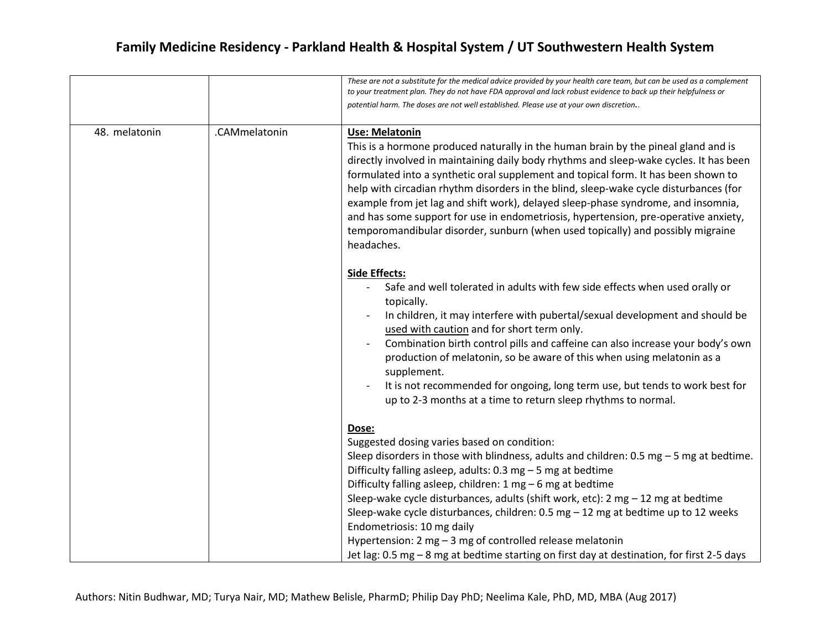|               |               | These are not a substitute for the medical advice provided by your health care team, but can be used as a complement<br>to your treatment plan. They do not have FDA approval and lack robust evidence to back up their helpfulness or<br>potential harm. The doses are not well established. Please use at your own discretion                                                                                                                                                                                                                                                                                                                                                         |
|---------------|---------------|-----------------------------------------------------------------------------------------------------------------------------------------------------------------------------------------------------------------------------------------------------------------------------------------------------------------------------------------------------------------------------------------------------------------------------------------------------------------------------------------------------------------------------------------------------------------------------------------------------------------------------------------------------------------------------------------|
| 48. melatonin | .CAMmelatonin | Use: Melatonin<br>This is a hormone produced naturally in the human brain by the pineal gland and is<br>directly involved in maintaining daily body rhythms and sleep-wake cycles. It has been<br>formulated into a synthetic oral supplement and topical form. It has been shown to<br>help with circadian rhythm disorders in the blind, sleep-wake cycle disturbances (for<br>example from jet lag and shift work), delayed sleep-phase syndrome, and insomnia,<br>and has some support for use in endometriosis, hypertension, pre-operative anxiety,<br>temporomandibular disorder, sunburn (when used topically) and possibly migraine<br>headaches.                              |
|               |               | <b>Side Effects:</b><br>Safe and well tolerated in adults with few side effects when used orally or<br>topically.<br>In children, it may interfere with pubertal/sexual development and should be<br>used with caution and for short term only.<br>Combination birth control pills and caffeine can also increase your body's own<br>production of melatonin, so be aware of this when using melatonin as a<br>supplement.<br>It is not recommended for ongoing, long term use, but tends to work best for<br>up to 2-3 months at a time to return sleep rhythms to normal.                                                                                                             |
|               |               | Dose:<br>Suggested dosing varies based on condition:<br>Sleep disorders in those with blindness, adults and children: $0.5 \text{ mg} - 5 \text{ mg}$ at bedtime.<br>Difficulty falling asleep, adults: $0.3$ mg $-5$ mg at bedtime<br>Difficulty falling asleep, children: 1 mg - 6 mg at bedtime<br>Sleep-wake cycle disturbances, adults (shift work, etc): $2 \text{ mg} - 12 \text{ mg}$ at bedtime<br>Sleep-wake cycle disturbances, children: 0.5 mg $-12$ mg at bedtime up to 12 weeks<br>Endometriosis: 10 mg daily<br>Hypertension: 2 mg - 3 mg of controlled release melatonin<br>Jet lag: 0.5 mg - 8 mg at bedtime starting on first day at destination, for first 2-5 days |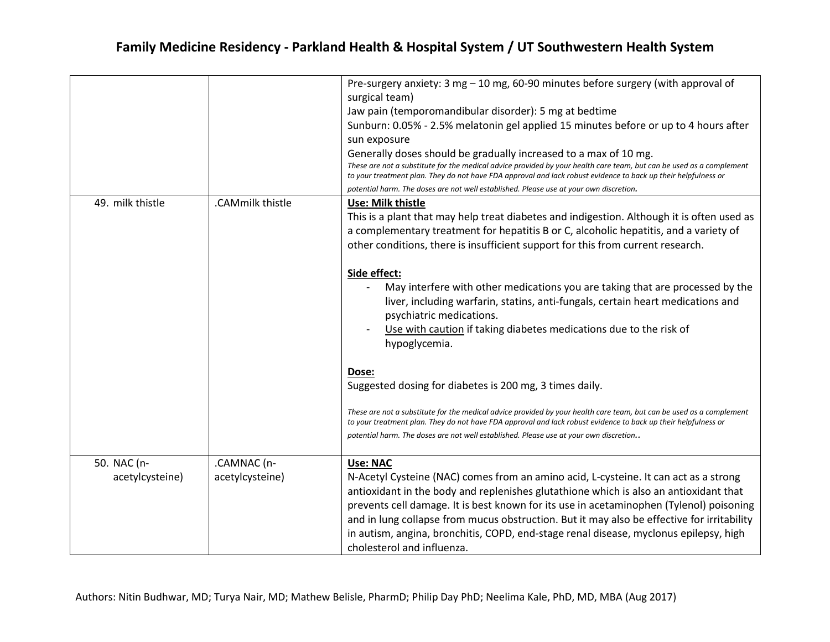|                                |                                | Pre-surgery anxiety: 3 mg - 10 mg, 60-90 minutes before surgery (with approval of<br>surgical team)<br>Jaw pain (temporomandibular disorder): 5 mg at bedtime<br>Sunburn: 0.05% - 2.5% melatonin gel applied 15 minutes before or up to 4 hours after<br>sun exposure<br>Generally doses should be gradually increased to a max of 10 mg.<br>These are not a substitute for the medical advice provided by your health care team, but can be used as a complement<br>to your treatment plan. They do not have FDA approval and lack robust evidence to back up their helpfulness or<br>potential harm. The doses are not well established. Please use at your own discretion.                                                                                                                                                                                                                                                                                                                             |
|--------------------------------|--------------------------------|-----------------------------------------------------------------------------------------------------------------------------------------------------------------------------------------------------------------------------------------------------------------------------------------------------------------------------------------------------------------------------------------------------------------------------------------------------------------------------------------------------------------------------------------------------------------------------------------------------------------------------------------------------------------------------------------------------------------------------------------------------------------------------------------------------------------------------------------------------------------------------------------------------------------------------------------------------------------------------------------------------------|
| 49. milk thistle               | .CAMmilk thistle               | Use: Milk thistle<br>This is a plant that may help treat diabetes and indigestion. Although it is often used as<br>a complementary treatment for hepatitis B or C, alcoholic hepatitis, and a variety of<br>other conditions, there is insufficient support for this from current research.<br>Side effect:<br>May interfere with other medications you are taking that are processed by the<br>liver, including warfarin, statins, anti-fungals, certain heart medications and<br>psychiatric medications.<br>Use with caution if taking diabetes medications due to the risk of<br>hypoglycemia.<br>Dose:<br>Suggested dosing for diabetes is 200 mg, 3 times daily.<br>These are not a substitute for the medical advice provided by your health care team, but can be used as a complement<br>to your treatment plan. They do not have FDA approval and lack robust evidence to back up their helpfulness or<br>potential harm. The doses are not well established. Please use at your own discretion |
| 50. NAC (n-<br>acetylcysteine) | .CAMNAC (n-<br>acetylcysteine) | <b>Use: NAC</b><br>N-Acetyl Cysteine (NAC) comes from an amino acid, L-cysteine. It can act as a strong<br>antioxidant in the body and replenishes glutathione which is also an antioxidant that<br>prevents cell damage. It is best known for its use in acetaminophen (Tylenol) poisoning<br>and in lung collapse from mucus obstruction. But it may also be effective for irritability<br>in autism, angina, bronchitis, COPD, end-stage renal disease, myclonus epilepsy, high<br>cholesterol and influenza.                                                                                                                                                                                                                                                                                                                                                                                                                                                                                          |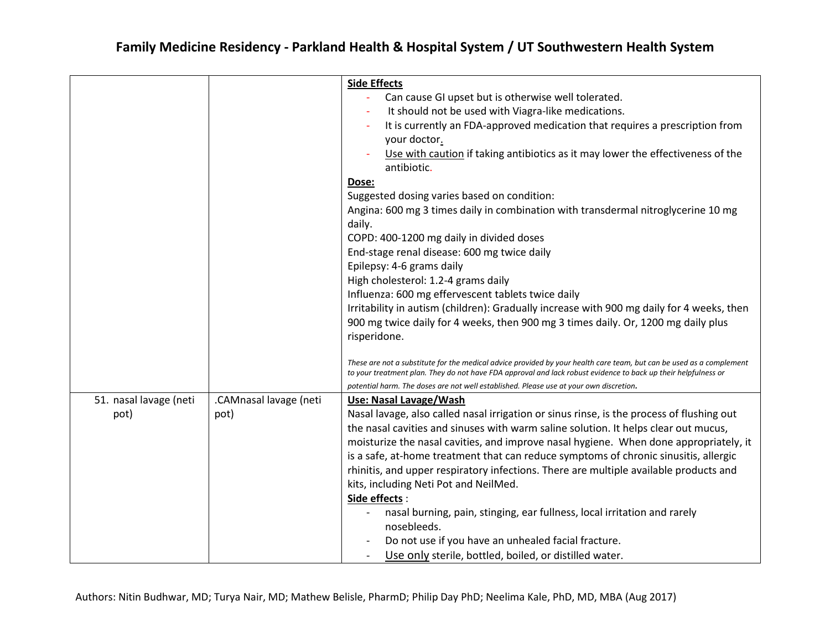|                        |                        | <b>Side Effects</b>                                                                                                  |
|------------------------|------------------------|----------------------------------------------------------------------------------------------------------------------|
|                        |                        | Can cause GI upset but is otherwise well tolerated.                                                                  |
|                        |                        | It should not be used with Viagra-like medications.                                                                  |
|                        |                        | It is currently an FDA-approved medication that requires a prescription from                                         |
|                        |                        | your doctor.                                                                                                         |
|                        |                        | Use with caution if taking antibiotics as it may lower the effectiveness of the                                      |
|                        |                        | antibiotic.                                                                                                          |
|                        |                        | Dose:                                                                                                                |
|                        |                        | Suggested dosing varies based on condition:                                                                          |
|                        |                        | Angina: 600 mg 3 times daily in combination with transdermal nitroglycerine 10 mg                                    |
|                        |                        | daily.                                                                                                               |
|                        |                        | COPD: 400-1200 mg daily in divided doses                                                                             |
|                        |                        | End-stage renal disease: 600 mg twice daily                                                                          |
|                        |                        |                                                                                                                      |
|                        |                        | Epilepsy: 4-6 grams daily                                                                                            |
|                        |                        | High cholesterol: 1.2-4 grams daily                                                                                  |
|                        |                        | Influenza: 600 mg effervescent tablets twice daily                                                                   |
|                        |                        | Irritability in autism (children): Gradually increase with 900 mg daily for 4 weeks, then                            |
|                        |                        | 900 mg twice daily for 4 weeks, then 900 mg 3 times daily. Or, 1200 mg daily plus                                    |
|                        |                        | risperidone.                                                                                                         |
|                        |                        | These are not a substitute for the medical advice provided by your health care team, but can be used as a complement |
|                        |                        | to your treatment plan. They do not have FDA approval and lack robust evidence to back up their helpfulness or       |
|                        |                        | potential harm. The doses are not well established. Please use at your own discretion.                               |
| 51. nasal lavage (neti | .CAMnasal lavage (neti | Use: Nasal Lavage/Wash                                                                                               |
| pot)                   | pot)                   | Nasal lavage, also called nasal irrigation or sinus rinse, is the process of flushing out                            |
|                        |                        | the nasal cavities and sinuses with warm saline solution. It helps clear out mucus,                                  |
|                        |                        | moisturize the nasal cavities, and improve nasal hygiene. When done appropriately, it                                |
|                        |                        | is a safe, at-home treatment that can reduce symptoms of chronic sinusitis, allergic                                 |
|                        |                        | rhinitis, and upper respiratory infections. There are multiple available products and                                |
|                        |                        | kits, including Neti Pot and NeilMed.                                                                                |
|                        |                        | Side effects:                                                                                                        |
|                        |                        | nasal burning, pain, stinging, ear fullness, local irritation and rarely                                             |
|                        |                        | nosebleeds.                                                                                                          |
|                        |                        | Do not use if you have an unhealed facial fracture.                                                                  |
|                        |                        |                                                                                                                      |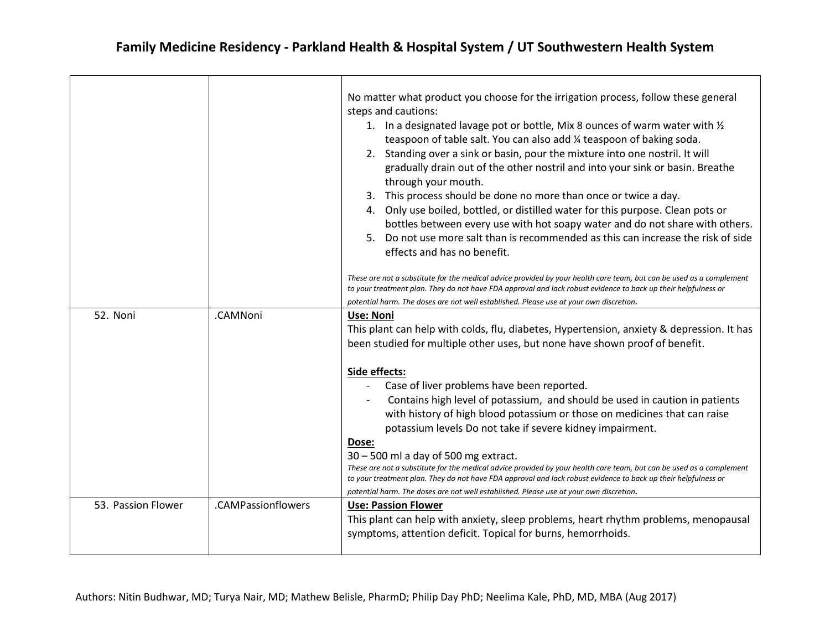|                    |                    | No matter what product you choose for the irrigation process, follow these general<br>steps and cautions:<br>1. In a designated lavage pot or bottle, Mix 8 ounces of warm water with 1/2<br>teaspoon of table salt. You can also add 1/4 teaspoon of baking soda.<br>2. Standing over a sink or basin, pour the mixture into one nostril. It will<br>gradually drain out of the other nostril and into your sink or basin. Breathe<br>through your mouth.<br>3. This process should be done no more than once or twice a day.<br>4. Only use boiled, bottled, or distilled water for this purpose. Clean pots or<br>bottles between every use with hot soapy water and do not share with others.<br>5. Do not use more salt than is recommended as this can increase the risk of side<br>effects and has no benefit.<br>These are not a substitute for the medical advice provided by your health care team, but can be used as a complement<br>to your treatment plan. They do not have FDA approval and lack robust evidence to back up their helpfulness or |
|--------------------|--------------------|-----------------------------------------------------------------------------------------------------------------------------------------------------------------------------------------------------------------------------------------------------------------------------------------------------------------------------------------------------------------------------------------------------------------------------------------------------------------------------------------------------------------------------------------------------------------------------------------------------------------------------------------------------------------------------------------------------------------------------------------------------------------------------------------------------------------------------------------------------------------------------------------------------------------------------------------------------------------------------------------------------------------------------------------------------------------|
|                    |                    | potential harm. The doses are not well established. Please use at your own discretion.                                                                                                                                                                                                                                                                                                                                                                                                                                                                                                                                                                                                                                                                                                                                                                                                                                                                                                                                                                          |
| 52. Noni           | .CAMNoni           | Use: Noni<br>This plant can help with colds, flu, diabetes, Hypertension, anxiety & depression. It has<br>been studied for multiple other uses, but none have shown proof of benefit.                                                                                                                                                                                                                                                                                                                                                                                                                                                                                                                                                                                                                                                                                                                                                                                                                                                                           |
|                    |                    | Side effects:                                                                                                                                                                                                                                                                                                                                                                                                                                                                                                                                                                                                                                                                                                                                                                                                                                                                                                                                                                                                                                                   |
|                    |                    | Case of liver problems have been reported.                                                                                                                                                                                                                                                                                                                                                                                                                                                                                                                                                                                                                                                                                                                                                                                                                                                                                                                                                                                                                      |
|                    |                    | Contains high level of potassium, and should be used in caution in patients<br>with history of high blood potassium or those on medicines that can raise<br>potassium levels Do not take if severe kidney impairment.                                                                                                                                                                                                                                                                                                                                                                                                                                                                                                                                                                                                                                                                                                                                                                                                                                           |
|                    |                    | Dose:                                                                                                                                                                                                                                                                                                                                                                                                                                                                                                                                                                                                                                                                                                                                                                                                                                                                                                                                                                                                                                                           |
|                    |                    | $30 - 500$ ml a day of 500 mg extract.                                                                                                                                                                                                                                                                                                                                                                                                                                                                                                                                                                                                                                                                                                                                                                                                                                                                                                                                                                                                                          |
|                    |                    | These are not a substitute for the medical advice provided by your health care team, but can be used as a complement<br>to your treatment plan. They do not have FDA approval and lack robust evidence to back up their helpfulness or                                                                                                                                                                                                                                                                                                                                                                                                                                                                                                                                                                                                                                                                                                                                                                                                                          |
|                    |                    | potential harm. The doses are not well established. Please use at your own discretion.                                                                                                                                                                                                                                                                                                                                                                                                                                                                                                                                                                                                                                                                                                                                                                                                                                                                                                                                                                          |
| 53. Passion Flower | .CAMPassionflowers | <b>Use: Passion Flower</b><br>This plant can help with anxiety, sleep problems, heart rhythm problems, menopausal<br>symptoms, attention deficit. Topical for burns, hemorrhoids.                                                                                                                                                                                                                                                                                                                                                                                                                                                                                                                                                                                                                                                                                                                                                                                                                                                                               |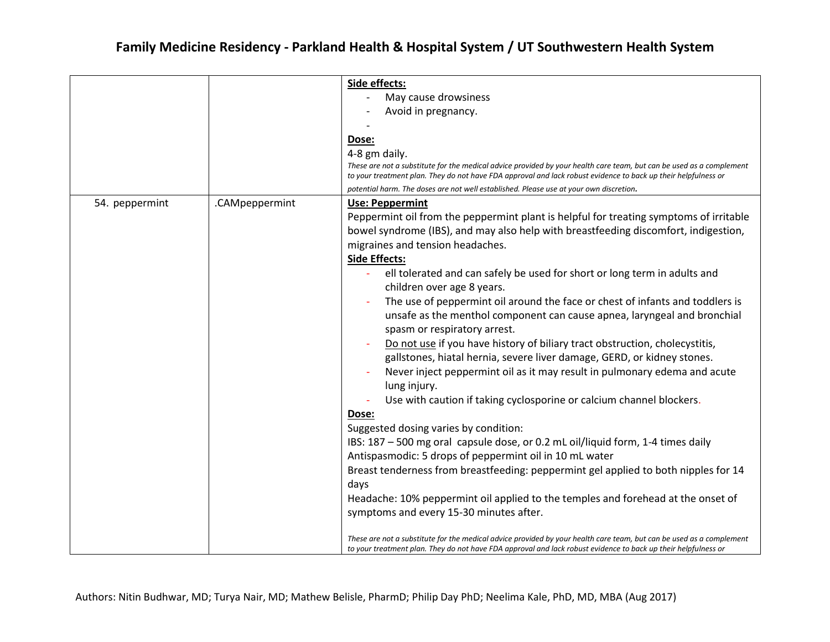|                |                | Side effects:                                                                                                                                                                                                                          |
|----------------|----------------|----------------------------------------------------------------------------------------------------------------------------------------------------------------------------------------------------------------------------------------|
|                |                | May cause drowsiness                                                                                                                                                                                                                   |
|                |                | Avoid in pregnancy.                                                                                                                                                                                                                    |
|                |                |                                                                                                                                                                                                                                        |
|                |                |                                                                                                                                                                                                                                        |
|                |                | Dose:                                                                                                                                                                                                                                  |
|                |                | 4-8 gm daily.                                                                                                                                                                                                                          |
|                |                | These are not a substitute for the medical advice provided by your health care team, but can be used as a complement<br>to your treatment plan. They do not have FDA approval and lack robust evidence to back up their helpfulness or |
|                |                | potential harm. The doses are not well established. Please use at your own discretion.                                                                                                                                                 |
| 54. peppermint | .CAMpeppermint | Use: Peppermint                                                                                                                                                                                                                        |
|                |                | Peppermint oil from the peppermint plant is helpful for treating symptoms of irritable                                                                                                                                                 |
|                |                | bowel syndrome (IBS), and may also help with breastfeeding discomfort, indigestion,                                                                                                                                                    |
|                |                | migraines and tension headaches.                                                                                                                                                                                                       |
|                |                | <b>Side Effects:</b>                                                                                                                                                                                                                   |
|                |                | ell tolerated and can safely be used for short or long term in adults and                                                                                                                                                              |
|                |                | children over age 8 years.                                                                                                                                                                                                             |
|                |                | The use of peppermint oil around the face or chest of infants and toddlers is                                                                                                                                                          |
|                |                | unsafe as the menthol component can cause apnea, laryngeal and bronchial                                                                                                                                                               |
|                |                |                                                                                                                                                                                                                                        |
|                |                | spasm or respiratory arrest.                                                                                                                                                                                                           |
|                |                | Do not use if you have history of biliary tract obstruction, cholecystitis,                                                                                                                                                            |
|                |                | gallstones, hiatal hernia, severe liver damage, GERD, or kidney stones.                                                                                                                                                                |
|                |                | Never inject peppermint oil as it may result in pulmonary edema and acute                                                                                                                                                              |
|                |                | lung injury.                                                                                                                                                                                                                           |
|                |                | Use with caution if taking cyclosporine or calcium channel blockers.                                                                                                                                                                   |
|                |                | Dose:                                                                                                                                                                                                                                  |
|                |                | Suggested dosing varies by condition:                                                                                                                                                                                                  |
|                |                | IBS: 187 - 500 mg oral capsule dose, or 0.2 mL oil/liquid form, 1-4 times daily                                                                                                                                                        |
|                |                | Antispasmodic: 5 drops of peppermint oil in 10 mL water                                                                                                                                                                                |
|                |                | Breast tenderness from breastfeeding: peppermint gel applied to both nipples for 14                                                                                                                                                    |
|                |                | days                                                                                                                                                                                                                                   |
|                |                |                                                                                                                                                                                                                                        |
|                |                | Headache: 10% peppermint oil applied to the temples and forehead at the onset of                                                                                                                                                       |
|                |                | symptoms and every 15-30 minutes after.                                                                                                                                                                                                |
|                |                |                                                                                                                                                                                                                                        |
|                |                | These are not a substitute for the medical advice provided by your health care team, but can be used as a complement<br>to your treatment plan. They do not have FDA approval and lack robust evidence to back up their helpfulness or |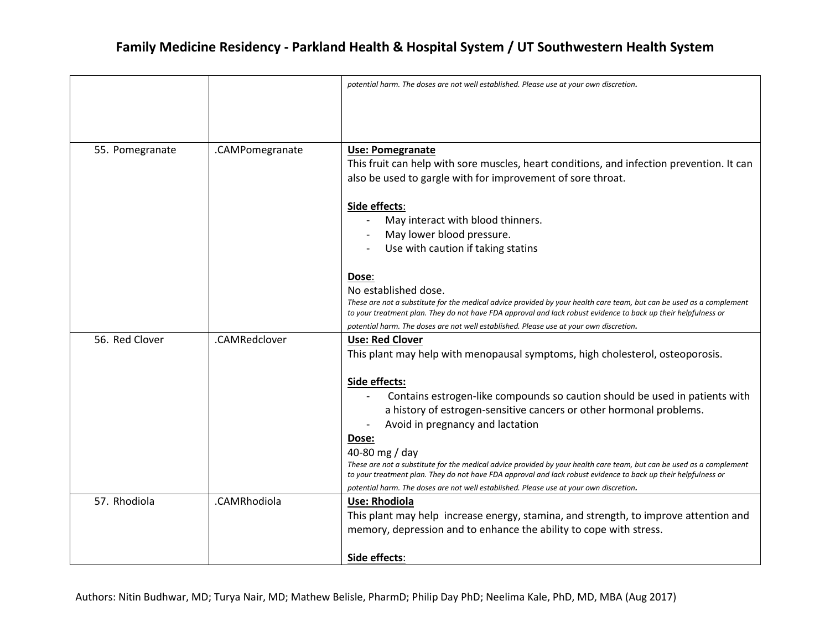|                 |                 | potential harm. The doses are not well established. Please use at your own discretion.                                                                                                                                                                                                                                                                                                                                                                                       |
|-----------------|-----------------|------------------------------------------------------------------------------------------------------------------------------------------------------------------------------------------------------------------------------------------------------------------------------------------------------------------------------------------------------------------------------------------------------------------------------------------------------------------------------|
| 55. Pomegranate | .CAMPomegranate | Use: Pomegranate<br>This fruit can help with sore muscles, heart conditions, and infection prevention. It can<br>also be used to gargle with for improvement of sore throat.                                                                                                                                                                                                                                                                                                 |
|                 |                 | Side effects:<br>May interact with blood thinners.<br>May lower blood pressure.<br>Use with caution if taking statins                                                                                                                                                                                                                                                                                                                                                        |
|                 |                 | Dose:<br>No established dose.<br>These are not a substitute for the medical advice provided by your health care team, but can be used as a complement<br>to your treatment plan. They do not have FDA approval and lack robust evidence to back up their helpfulness or<br>potential harm. The doses are not well established. Please use at your own discretion.                                                                                                            |
| 56. Red Clover  | .CAMRedclover   | <b>Use: Red Clover</b><br>This plant may help with menopausal symptoms, high cholesterol, osteoporosis.                                                                                                                                                                                                                                                                                                                                                                      |
|                 |                 | Side effects:<br>Contains estrogen-like compounds so caution should be used in patients with<br>a history of estrogen-sensitive cancers or other hormonal problems.<br>Avoid in pregnancy and lactation<br>Dose:<br>40-80 mg / day<br>These are not a substitute for the medical advice provided by your health care team, but can be used as a complement<br>to your treatment plan. They do not have FDA approval and lack robust evidence to back up their helpfulness or |
| 57. Rhodiola    | .CAMRhodiola    | potential harm. The doses are not well established. Please use at your own discretion.<br><b>Use: Rhodiola</b>                                                                                                                                                                                                                                                                                                                                                               |
|                 |                 | This plant may help increase energy, stamina, and strength, to improve attention and<br>memory, depression and to enhance the ability to cope with stress.                                                                                                                                                                                                                                                                                                                   |
|                 |                 | Side effects:                                                                                                                                                                                                                                                                                                                                                                                                                                                                |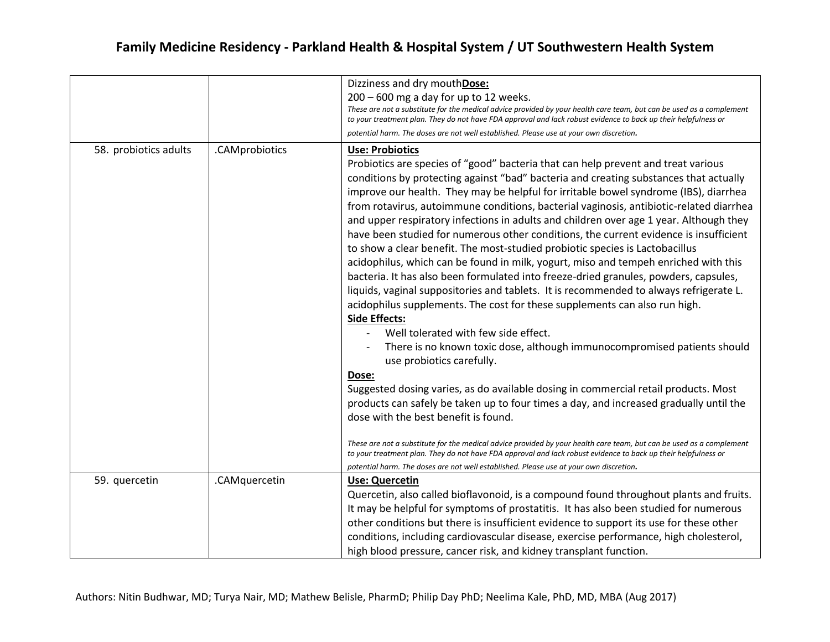|                       |                | Dizziness and dry mouthDose:<br>$200 - 600$ mg a day for up to 12 weeks.<br>These are not a substitute for the medical advice provided by your health care team, but can be used as a complement<br>to your treatment plan. They do not have FDA approval and lack robust evidence to back up their helpfulness or<br>potential harm. The doses are not well established. Please use at your own discretion.                                                                                                                                                                                                                                                                                                                                                                                                                                                                                                                                                                                                                                                                                                                                                  |
|-----------------------|----------------|---------------------------------------------------------------------------------------------------------------------------------------------------------------------------------------------------------------------------------------------------------------------------------------------------------------------------------------------------------------------------------------------------------------------------------------------------------------------------------------------------------------------------------------------------------------------------------------------------------------------------------------------------------------------------------------------------------------------------------------------------------------------------------------------------------------------------------------------------------------------------------------------------------------------------------------------------------------------------------------------------------------------------------------------------------------------------------------------------------------------------------------------------------------|
| 58. probiotics adults | .CAMprobiotics | <b>Use: Probiotics</b><br>Probiotics are species of "good" bacteria that can help prevent and treat various<br>conditions by protecting against "bad" bacteria and creating substances that actually<br>improve our health. They may be helpful for irritable bowel syndrome (IBS), diarrhea<br>from rotavirus, autoimmune conditions, bacterial vaginosis, antibiotic-related diarrhea<br>and upper respiratory infections in adults and children over age 1 year. Although they<br>have been studied for numerous other conditions, the current evidence is insufficient<br>to show a clear benefit. The most-studied probiotic species is Lactobacillus<br>acidophilus, which can be found in milk, yogurt, miso and tempeh enriched with this<br>bacteria. It has also been formulated into freeze-dried granules, powders, capsules,<br>liquids, vaginal suppositories and tablets. It is recommended to always refrigerate L.<br>acidophilus supplements. The cost for these supplements can also run high.<br><b>Side Effects:</b><br>Well tolerated with few side effect.<br>There is no known toxic dose, although immunocompromised patients should |
|                       |                | use probiotics carefully.<br>Dose:<br>Suggested dosing varies, as do available dosing in commercial retail products. Most                                                                                                                                                                                                                                                                                                                                                                                                                                                                                                                                                                                                                                                                                                                                                                                                                                                                                                                                                                                                                                     |
|                       |                | products can safely be taken up to four times a day, and increased gradually until the<br>dose with the best benefit is found.                                                                                                                                                                                                                                                                                                                                                                                                                                                                                                                                                                                                                                                                                                                                                                                                                                                                                                                                                                                                                                |
|                       |                | These are not a substitute for the medical advice provided by your health care team, but can be used as a complement<br>to your treatment plan. They do not have FDA approval and lack robust evidence to back up their helpfulness or<br>potential harm. The doses are not well established. Please use at your own discretion.                                                                                                                                                                                                                                                                                                                                                                                                                                                                                                                                                                                                                                                                                                                                                                                                                              |
| 59. quercetin         | .CAMquercetin  | <b>Use: Quercetin</b><br>Quercetin, also called bioflavonoid, is a compound found throughout plants and fruits.<br>It may be helpful for symptoms of prostatitis. It has also been studied for numerous<br>other conditions but there is insufficient evidence to support its use for these other<br>conditions, including cardiovascular disease, exercise performance, high cholesterol,<br>high blood pressure, cancer risk, and kidney transplant function.                                                                                                                                                                                                                                                                                                                                                                                                                                                                                                                                                                                                                                                                                               |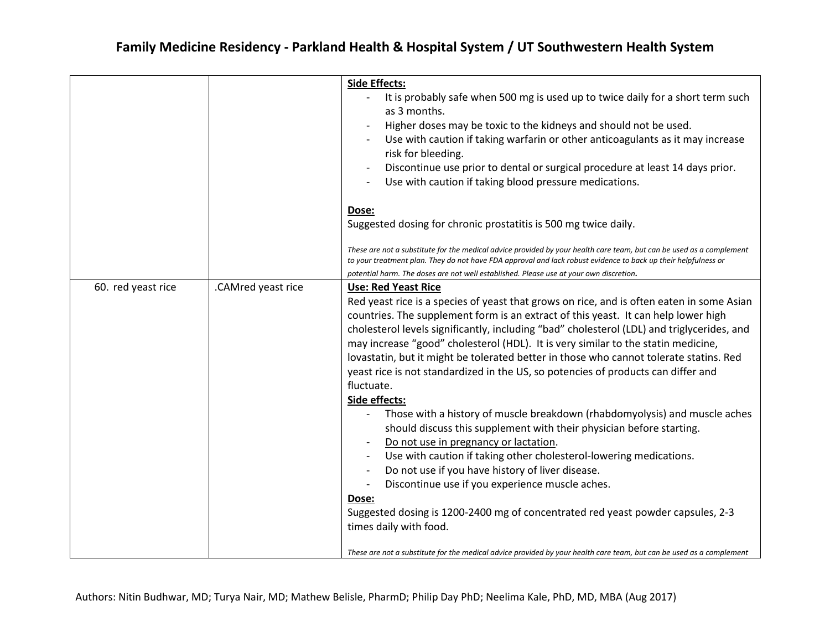|                    |                    | <b>Side Effects:</b>                                                                                                                                                                                                                   |
|--------------------|--------------------|----------------------------------------------------------------------------------------------------------------------------------------------------------------------------------------------------------------------------------------|
|                    |                    | It is probably safe when 500 mg is used up to twice daily for a short term such<br>as 3 months.                                                                                                                                        |
|                    |                    | Higher doses may be toxic to the kidneys and should not be used.                                                                                                                                                                       |
|                    |                    | Use with caution if taking warfarin or other anticoagulants as it may increase<br>risk for bleeding.                                                                                                                                   |
|                    |                    | Discontinue use prior to dental or surgical procedure at least 14 days prior.                                                                                                                                                          |
|                    |                    | Use with caution if taking blood pressure medications.                                                                                                                                                                                 |
|                    |                    | Dose:                                                                                                                                                                                                                                  |
|                    |                    | Suggested dosing for chronic prostatitis is 500 mg twice daily.                                                                                                                                                                        |
|                    |                    | These are not a substitute for the medical advice provided by your health care team, but can be used as a complement<br>to your treatment plan. They do not have FDA approval and lack robust evidence to back up their helpfulness or |
|                    |                    | potential harm. The doses are not well established. Please use at your own discretion.                                                                                                                                                 |
| 60. red yeast rice | .CAMred yeast rice | <b>Use: Red Yeast Rice</b>                                                                                                                                                                                                             |
|                    |                    | Red yeast rice is a species of yeast that grows on rice, and is often eaten in some Asian                                                                                                                                              |
|                    |                    | countries. The supplement form is an extract of this yeast. It can help lower high                                                                                                                                                     |
|                    |                    | cholesterol levels significantly, including "bad" cholesterol (LDL) and triglycerides, and                                                                                                                                             |
|                    |                    | may increase "good" cholesterol (HDL). It is very similar to the statin medicine,                                                                                                                                                      |
|                    |                    | lovastatin, but it might be tolerated better in those who cannot tolerate statins. Red                                                                                                                                                 |
|                    |                    | yeast rice is not standardized in the US, so potencies of products can differ and                                                                                                                                                      |
|                    |                    | fluctuate.                                                                                                                                                                                                                             |
|                    |                    | Side effects:                                                                                                                                                                                                                          |
|                    |                    | Those with a history of muscle breakdown (rhabdomyolysis) and muscle aches                                                                                                                                                             |
|                    |                    | should discuss this supplement with their physician before starting.                                                                                                                                                                   |
|                    |                    | Do not use in pregnancy or lactation.                                                                                                                                                                                                  |
|                    |                    | Use with caution if taking other cholesterol-lowering medications.                                                                                                                                                                     |
|                    |                    | Do not use if you have history of liver disease.                                                                                                                                                                                       |
|                    |                    | Discontinue use if you experience muscle aches.<br>$\overline{\phantom{a}}$                                                                                                                                                            |
|                    |                    | Dose:                                                                                                                                                                                                                                  |
|                    |                    | Suggested dosing is 1200-2400 mg of concentrated red yeast powder capsules, 2-3                                                                                                                                                        |
|                    |                    | times daily with food.                                                                                                                                                                                                                 |
|                    |                    |                                                                                                                                                                                                                                        |
|                    |                    | These are not a substitute for the medical advice provided by your health care team, but can be used as a complement                                                                                                                   |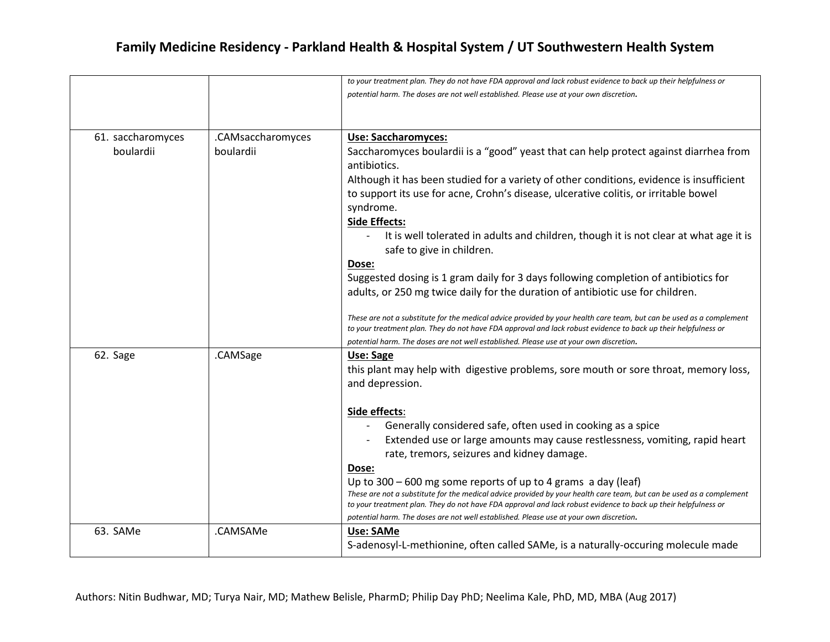|                   |                   | to your treatment plan. They do not have FDA approval and lack robust evidence to back up their helpfulness or                                                                          |
|-------------------|-------------------|-----------------------------------------------------------------------------------------------------------------------------------------------------------------------------------------|
|                   |                   | potential harm. The doses are not well established. Please use at your own discretion.                                                                                                  |
|                   |                   |                                                                                                                                                                                         |
|                   |                   |                                                                                                                                                                                         |
| 61. saccharomyces | .CAMsaccharomyces | <b>Use: Saccharomyces:</b>                                                                                                                                                              |
| boulardii         | boulardii         | Saccharomyces boulardii is a "good" yeast that can help protect against diarrhea from                                                                                                   |
|                   |                   | antibiotics.                                                                                                                                                                            |
|                   |                   | Although it has been studied for a variety of other conditions, evidence is insufficient                                                                                                |
|                   |                   | to support its use for acne, Crohn's disease, ulcerative colitis, or irritable bowel                                                                                                    |
|                   |                   | syndrome.                                                                                                                                                                               |
|                   |                   | <b>Side Effects:</b>                                                                                                                                                                    |
|                   |                   | It is well tolerated in adults and children, though it is not clear at what age it is                                                                                                   |
|                   |                   | safe to give in children.                                                                                                                                                               |
|                   |                   | Dose:                                                                                                                                                                                   |
|                   |                   | Suggested dosing is 1 gram daily for 3 days following completion of antibiotics for                                                                                                     |
|                   |                   | adults, or 250 mg twice daily for the duration of antibiotic use for children.                                                                                                          |
|                   |                   |                                                                                                                                                                                         |
|                   |                   | These are not a substitute for the medical advice provided by your health care team, but can be used as a complement                                                                    |
|                   |                   | to your treatment plan. They do not have FDA approval and lack robust evidence to back up their helpfulness or                                                                          |
|                   | .CAMSage          | potential harm. The doses are not well established. Please use at your own discretion.                                                                                                  |
| 62. Sage          |                   | Use: Sage                                                                                                                                                                               |
|                   |                   | this plant may help with digestive problems, sore mouth or sore throat, memory loss,                                                                                                    |
|                   |                   | and depression.                                                                                                                                                                         |
|                   |                   | Side effects:                                                                                                                                                                           |
|                   |                   | Generally considered safe, often used in cooking as a spice                                                                                                                             |
|                   |                   | Extended use or large amounts may cause restlessness, vomiting, rapid heart                                                                                                             |
|                   |                   | rate, tremors, seizures and kidney damage.                                                                                                                                              |
|                   |                   |                                                                                                                                                                                         |
|                   |                   | Dose:                                                                                                                                                                                   |
|                   |                   | Up to $300 - 600$ mg some reports of up to 4 grams a day (leaf)<br>These are not a substitute for the medical advice provided by your health care team, but can be used as a complement |
|                   |                   | to your treatment plan. They do not have FDA approval and lack robust evidence to back up their helpfulness or                                                                          |
|                   |                   | potential harm. The doses are not well established. Please use at your own discretion.                                                                                                  |
| 63. SAMe          | .CAMSAMe          | Use: SAMe                                                                                                                                                                               |
|                   |                   | S-adenosyl-L-methionine, often called SAMe, is a naturally-occuring molecule made                                                                                                       |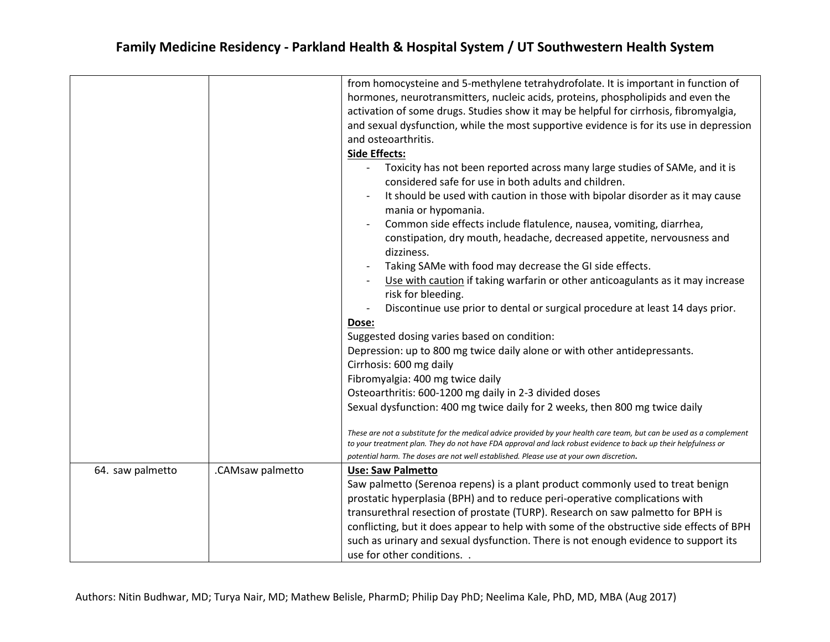|                  |                  | from homocysteine and 5-methylene tetrahydrofolate. It is important in function of                                                                                                                                                                                                                                                                                                                                                                                                                                                                                            |
|------------------|------------------|-------------------------------------------------------------------------------------------------------------------------------------------------------------------------------------------------------------------------------------------------------------------------------------------------------------------------------------------------------------------------------------------------------------------------------------------------------------------------------------------------------------------------------------------------------------------------------|
|                  |                  | hormones, neurotransmitters, nucleic acids, proteins, phospholipids and even the                                                                                                                                                                                                                                                                                                                                                                                                                                                                                              |
|                  |                  | activation of some drugs. Studies show it may be helpful for cirrhosis, fibromyalgia,                                                                                                                                                                                                                                                                                                                                                                                                                                                                                         |
|                  |                  | and sexual dysfunction, while the most supportive evidence is for its use in depression                                                                                                                                                                                                                                                                                                                                                                                                                                                                                       |
|                  |                  | and osteoarthritis.                                                                                                                                                                                                                                                                                                                                                                                                                                                                                                                                                           |
|                  |                  | <b>Side Effects:</b>                                                                                                                                                                                                                                                                                                                                                                                                                                                                                                                                                          |
|                  |                  | Toxicity has not been reported across many large studies of SAMe, and it is<br>considered safe for use in both adults and children.<br>It should be used with caution in those with bipolar disorder as it may cause<br>mania or hypomania.<br>Common side effects include flatulence, nausea, vomiting, diarrhea,<br>constipation, dry mouth, headache, decreased appetite, nervousness and<br>dizziness.<br>Taking SAMe with food may decrease the GI side effects.<br>Use with caution if taking warfarin or other anticoagulants as it may increase<br>risk for bleeding. |
|                  |                  | Discontinue use prior to dental or surgical procedure at least 14 days prior.                                                                                                                                                                                                                                                                                                                                                                                                                                                                                                 |
|                  |                  | Dose:                                                                                                                                                                                                                                                                                                                                                                                                                                                                                                                                                                         |
|                  |                  | Suggested dosing varies based on condition:                                                                                                                                                                                                                                                                                                                                                                                                                                                                                                                                   |
|                  |                  | Depression: up to 800 mg twice daily alone or with other antidepressants.                                                                                                                                                                                                                                                                                                                                                                                                                                                                                                     |
|                  |                  | Cirrhosis: 600 mg daily                                                                                                                                                                                                                                                                                                                                                                                                                                                                                                                                                       |
|                  |                  | Fibromyalgia: 400 mg twice daily                                                                                                                                                                                                                                                                                                                                                                                                                                                                                                                                              |
|                  |                  | Osteoarthritis: 600-1200 mg daily in 2-3 divided doses                                                                                                                                                                                                                                                                                                                                                                                                                                                                                                                        |
|                  |                  | Sexual dysfunction: 400 mg twice daily for 2 weeks, then 800 mg twice daily                                                                                                                                                                                                                                                                                                                                                                                                                                                                                                   |
|                  |                  |                                                                                                                                                                                                                                                                                                                                                                                                                                                                                                                                                                               |
|                  |                  | These are not a substitute for the medical advice provided by your health care team, but can be used as a complement<br>to your treatment plan. They do not have FDA approval and lack robust evidence to back up their helpfulness or                                                                                                                                                                                                                                                                                                                                        |
|                  |                  | potential harm. The doses are not well established. Please use at your own discretion.                                                                                                                                                                                                                                                                                                                                                                                                                                                                                        |
| 64. saw palmetto | .CAMsaw palmetto | <b>Use: Saw Palmetto</b>                                                                                                                                                                                                                                                                                                                                                                                                                                                                                                                                                      |
|                  |                  | Saw palmetto (Serenoa repens) is a plant product commonly used to treat benign                                                                                                                                                                                                                                                                                                                                                                                                                                                                                                |
|                  |                  | prostatic hyperplasia (BPH) and to reduce peri-operative complications with                                                                                                                                                                                                                                                                                                                                                                                                                                                                                                   |
|                  |                  | transurethral resection of prostate (TURP). Research on saw palmetto for BPH is                                                                                                                                                                                                                                                                                                                                                                                                                                                                                               |
|                  |                  | conflicting, but it does appear to help with some of the obstructive side effects of BPH                                                                                                                                                                                                                                                                                                                                                                                                                                                                                      |
|                  |                  | such as urinary and sexual dysfunction. There is not enough evidence to support its                                                                                                                                                                                                                                                                                                                                                                                                                                                                                           |
|                  |                  | use for other conditions                                                                                                                                                                                                                                                                                                                                                                                                                                                                                                                                                      |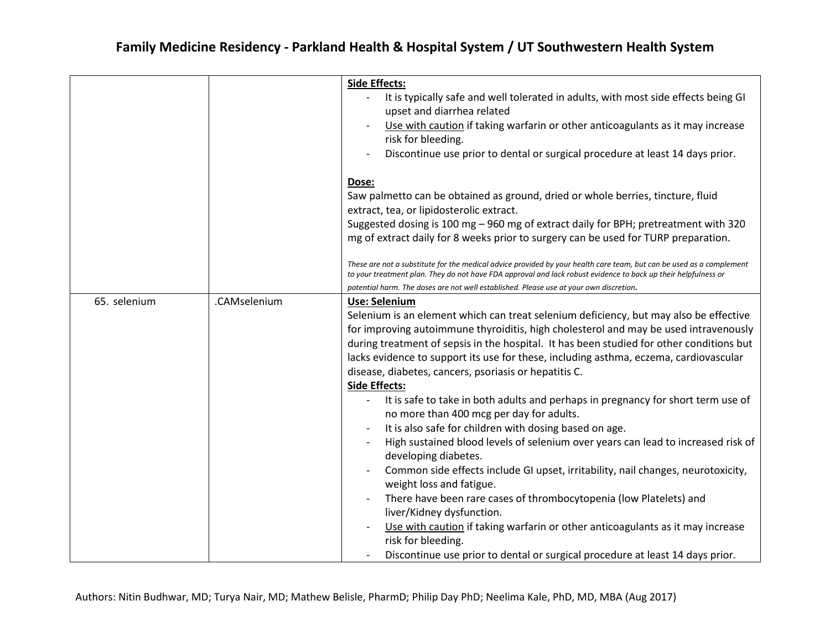|              |              | <b>Side Effects:</b>                                                                                                                                                                                                                   |
|--------------|--------------|----------------------------------------------------------------------------------------------------------------------------------------------------------------------------------------------------------------------------------------|
|              |              | It is typically safe and well tolerated in adults, with most side effects being GI<br>upset and diarrhea related                                                                                                                       |
|              |              | Use with caution if taking warfarin or other anticoagulants as it may increase<br>risk for bleeding.                                                                                                                                   |
|              |              | Discontinue use prior to dental or surgical procedure at least 14 days prior.                                                                                                                                                          |
|              |              | Dose:                                                                                                                                                                                                                                  |
|              |              | Saw palmetto can be obtained as ground, dried or whole berries, tincture, fluid<br>extract, tea, or lipidosterolic extract.                                                                                                            |
|              |              | Suggested dosing is 100 mg - 960 mg of extract daily for BPH; pretreatment with 320<br>mg of extract daily for 8 weeks prior to surgery can be used for TURP preparation.                                                              |
|              |              | These are not a substitute for the medical advice provided by your health care team, but can be used as a complement<br>to your treatment plan. They do not have FDA approval and lack robust evidence to back up their helpfulness or |
|              |              | potential harm. The doses are not well established. Please use at your own discretion.                                                                                                                                                 |
| 65. selenium | .CAMselenium | Use: Selenium                                                                                                                                                                                                                          |
|              |              | Selenium is an element which can treat selenium deficiency, but may also be effective                                                                                                                                                  |
|              |              | for improving autoimmune thyroiditis, high cholesterol and may be used intravenously                                                                                                                                                   |
|              |              | during treatment of sepsis in the hospital. It has been studied for other conditions but                                                                                                                                               |
|              |              | lacks evidence to support its use for these, including asthma, eczema, cardiovascular                                                                                                                                                  |
|              |              | disease, diabetes, cancers, psoriasis or hepatitis C.                                                                                                                                                                                  |
|              |              | <b>Side Effects:</b>                                                                                                                                                                                                                   |
|              |              | It is safe to take in both adults and perhaps in pregnancy for short term use of<br>no more than 400 mcg per day for adults.                                                                                                           |
|              |              | It is also safe for children with dosing based on age.                                                                                                                                                                                 |
|              |              | High sustained blood levels of selenium over years can lead to increased risk of                                                                                                                                                       |
|              |              | developing diabetes.                                                                                                                                                                                                                   |
|              |              | Common side effects include GI upset, irritability, nail changes, neurotoxicity,                                                                                                                                                       |
|              |              | weight loss and fatigue.                                                                                                                                                                                                               |
|              |              | There have been rare cases of thrombocytopenia (low Platelets) and                                                                                                                                                                     |
|              |              | liver/Kidney dysfunction.                                                                                                                                                                                                              |
|              |              | Use with caution if taking warfarin or other anticoagulants as it may increase                                                                                                                                                         |
|              |              | risk for bleeding.                                                                                                                                                                                                                     |
|              |              | Discontinue use prior to dental or surgical procedure at least 14 days prior.                                                                                                                                                          |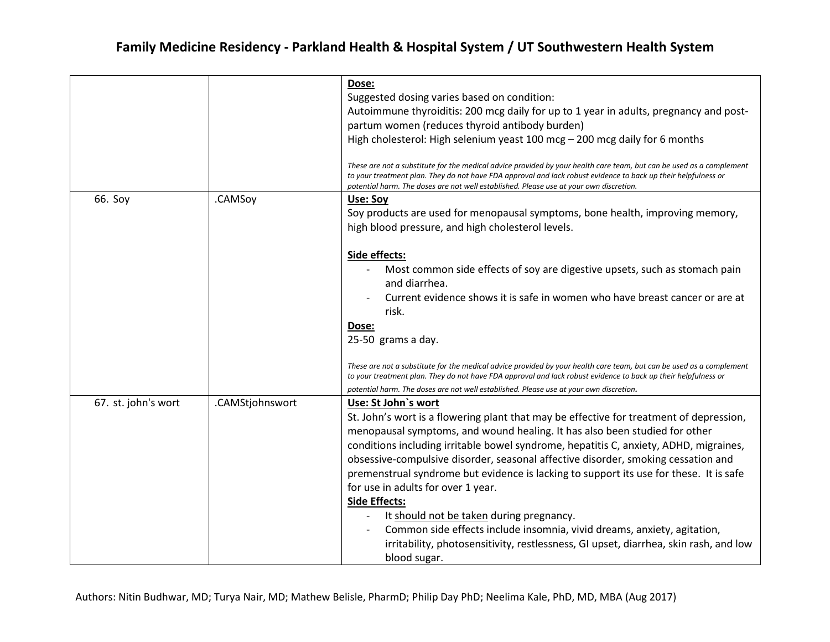|                     |                 | Dose:                                                                                                                                                                                                                                                                                                                            |
|---------------------|-----------------|----------------------------------------------------------------------------------------------------------------------------------------------------------------------------------------------------------------------------------------------------------------------------------------------------------------------------------|
|                     |                 | Suggested dosing varies based on condition:                                                                                                                                                                                                                                                                                      |
|                     |                 | Autoimmune thyroiditis: 200 mcg daily for up to 1 year in adults, pregnancy and post-                                                                                                                                                                                                                                            |
|                     |                 | partum women (reduces thyroid antibody burden)                                                                                                                                                                                                                                                                                   |
|                     |                 | High cholesterol: High selenium yeast 100 mcg $-$ 200 mcg daily for 6 months                                                                                                                                                                                                                                                     |
|                     |                 |                                                                                                                                                                                                                                                                                                                                  |
|                     |                 | These are not a substitute for the medical advice provided by your health care team, but can be used as a complement<br>to your treatment plan. They do not have FDA approval and lack robust evidence to back up their helpfulness or<br>potential harm. The doses are not well established. Please use at your own discretion. |
| 66. Soy             | .CAMSoy         | Use: Soy                                                                                                                                                                                                                                                                                                                         |
|                     |                 | Soy products are used for menopausal symptoms, bone health, improving memory,                                                                                                                                                                                                                                                    |
|                     |                 | high blood pressure, and high cholesterol levels.                                                                                                                                                                                                                                                                                |
|                     |                 |                                                                                                                                                                                                                                                                                                                                  |
|                     |                 | Side effects:                                                                                                                                                                                                                                                                                                                    |
|                     |                 | Most common side effects of soy are digestive upsets, such as stomach pain                                                                                                                                                                                                                                                       |
|                     |                 | and diarrhea.                                                                                                                                                                                                                                                                                                                    |
|                     |                 | Current evidence shows it is safe in women who have breast cancer or are at                                                                                                                                                                                                                                                      |
|                     |                 | risk.                                                                                                                                                                                                                                                                                                                            |
|                     |                 | Dose:                                                                                                                                                                                                                                                                                                                            |
|                     |                 | 25-50 grams a day.                                                                                                                                                                                                                                                                                                               |
|                     |                 |                                                                                                                                                                                                                                                                                                                                  |
|                     |                 | These are not a substitute for the medical advice provided by your health care team, but can be used as a complement                                                                                                                                                                                                             |
|                     |                 | to your treatment plan. They do not have FDA approval and lack robust evidence to back up their helpfulness or                                                                                                                                                                                                                   |
|                     |                 | potential harm. The doses are not well established. Please use at your own discretion.                                                                                                                                                                                                                                           |
| 67. st. john's wort | .CAMStjohnswort | Use: St John's wort                                                                                                                                                                                                                                                                                                              |
|                     |                 | St. John's wort is a flowering plant that may be effective for treatment of depression,                                                                                                                                                                                                                                          |
|                     |                 | menopausal symptoms, and wound healing. It has also been studied for other                                                                                                                                                                                                                                                       |
|                     |                 | conditions including irritable bowel syndrome, hepatitis C, anxiety, ADHD, migraines,                                                                                                                                                                                                                                            |
|                     |                 | obsessive-compulsive disorder, seasonal affective disorder, smoking cessation and                                                                                                                                                                                                                                                |
|                     |                 | premenstrual syndrome but evidence is lacking to support its use for these. It is safe                                                                                                                                                                                                                                           |
|                     |                 | for use in adults for over 1 year.                                                                                                                                                                                                                                                                                               |
|                     |                 | <b>Side Effects:</b>                                                                                                                                                                                                                                                                                                             |
|                     |                 | It should not be taken during pregnancy.                                                                                                                                                                                                                                                                                         |
|                     |                 | Common side effects include insomnia, vivid dreams, anxiety, agitation,                                                                                                                                                                                                                                                          |
|                     |                 | irritability, photosensitivity, restlessness, GI upset, diarrhea, skin rash, and low                                                                                                                                                                                                                                             |
|                     |                 | blood sugar.                                                                                                                                                                                                                                                                                                                     |
|                     |                 |                                                                                                                                                                                                                                                                                                                                  |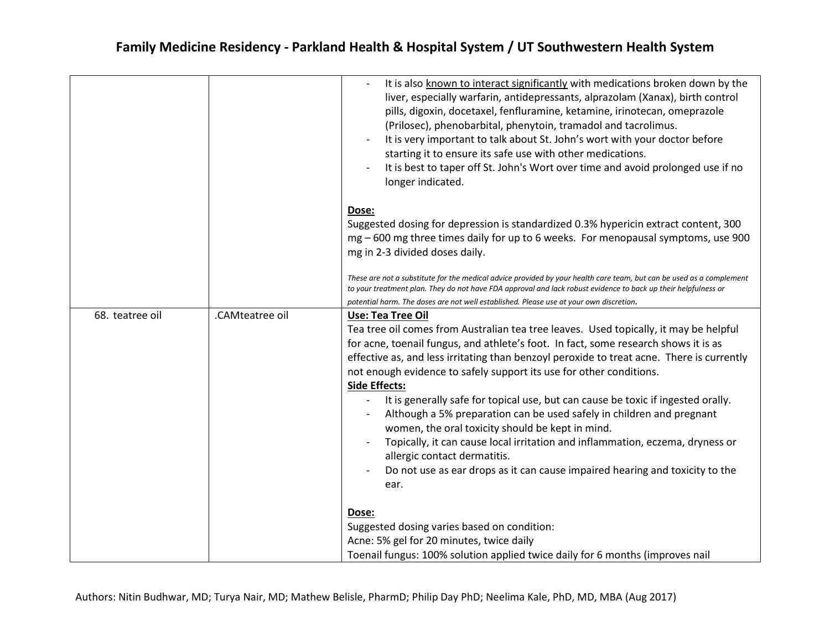|                 |                 | It is also known to interact significantly with medications broken down by the<br>liver, especially warfarin, antidepressants, alprazolam (Xanax), birth control<br>pills, digoxin, docetaxel, fenfluramine, ketamine, irinotecan, omeprazole<br>(Prilosec), phenobarbital, phenytoin, tramadol and tacrolimus.<br>It is very important to talk about St. John's wort with your doctor before<br>starting it to ensure its safe use with other medications.<br>It is best to taper off St. John's Wort over time and avoid prolonged use if no<br>longer indicated. |
|-----------------|-----------------|---------------------------------------------------------------------------------------------------------------------------------------------------------------------------------------------------------------------------------------------------------------------------------------------------------------------------------------------------------------------------------------------------------------------------------------------------------------------------------------------------------------------------------------------------------------------|
|                 |                 | Dose:<br>Suggested dosing for depression is standardized 0.3% hypericin extract content, 300<br>mg - 600 mg three times daily for up to 6 weeks. For menopausal symptoms, use 900<br>mg in 2-3 divided doses daily.                                                                                                                                                                                                                                                                                                                                                 |
|                 |                 | These are not a substitute for the medical advice provided by your health care team, but can be used as a complement<br>to your treatment plan. They do not have FDA approval and lack robust evidence to back up their helpfulness or<br>potential harm. The doses are not well established. Please use at your own discretion.                                                                                                                                                                                                                                    |
| 68. teatree oil | .CAMteatree oil | <b>Use: Tea Tree Oil</b><br>Tea tree oil comes from Australian tea tree leaves. Used topically, it may be helpful<br>for acne, toenail fungus, and athlete's foot. In fact, some research shows it is as<br>effective as, and less irritating than benzoyl peroxide to treat acne. There is currently<br>not enough evidence to safely support its use for other conditions.<br><b>Side Effects:</b>                                                                                                                                                                |
|                 |                 | It is generally safe for topical use, but can cause be toxic if ingested orally.<br>Although a 5% preparation can be used safely in children and pregnant<br>women, the oral toxicity should be kept in mind.<br>Topically, it can cause local irritation and inflammation, eczema, dryness or<br>allergic contact dermatitis.<br>Do not use as ear drops as it can cause impaired hearing and toxicity to the<br>ear.                                                                                                                                              |
|                 |                 | Dose:<br>Suggested dosing varies based on condition:<br>Acne: 5% gel for 20 minutes, twice daily<br>Toenail fungus: 100% solution applied twice daily for 6 months (improves nail                                                                                                                                                                                                                                                                                                                                                                                   |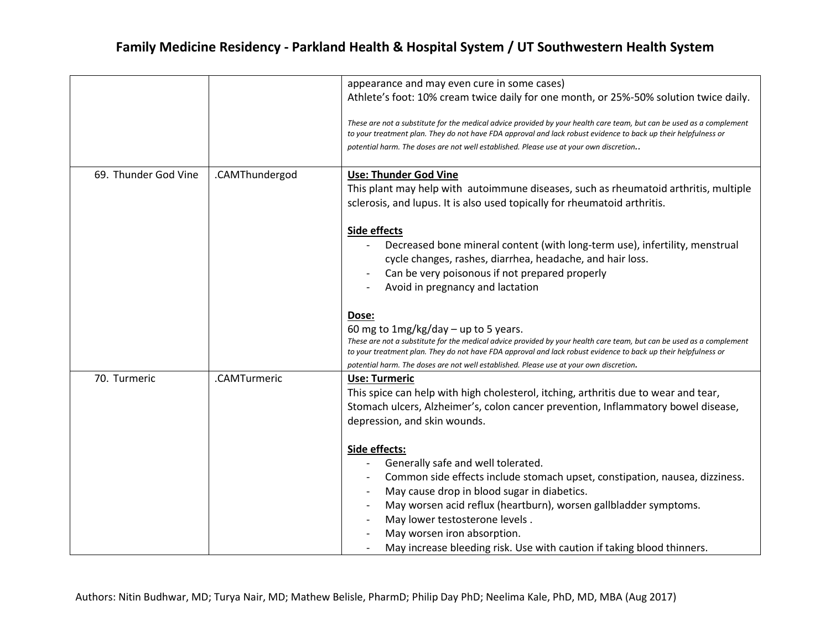|                      |                | appearance and may even cure in some cases)                                                                                                                                                                                            |
|----------------------|----------------|----------------------------------------------------------------------------------------------------------------------------------------------------------------------------------------------------------------------------------------|
|                      |                | Athlete's foot: 10% cream twice daily for one month, or 25%-50% solution twice daily.                                                                                                                                                  |
|                      |                | These are not a substitute for the medical advice provided by your health care team, but can be used as a complement                                                                                                                   |
|                      |                | to your treatment plan. They do not have FDA approval and lack robust evidence to back up their helpfulness or                                                                                                                         |
|                      |                | potential harm. The doses are not well established. Please use at your own discretion                                                                                                                                                  |
|                      |                |                                                                                                                                                                                                                                        |
| 69. Thunder God Vine | .CAMThundergod | <b>Use: Thunder God Vine</b>                                                                                                                                                                                                           |
|                      |                | This plant may help with autoimmune diseases, such as rheumatoid arthritis, multiple                                                                                                                                                   |
|                      |                | sclerosis, and lupus. It is also used topically for rheumatoid arthritis.                                                                                                                                                              |
|                      |                | Side effects                                                                                                                                                                                                                           |
|                      |                | Decreased bone mineral content (with long-term use), infertility, menstrual                                                                                                                                                            |
|                      |                | cycle changes, rashes, diarrhea, headache, and hair loss.                                                                                                                                                                              |
|                      |                | Can be very poisonous if not prepared properly                                                                                                                                                                                         |
|                      |                | Avoid in pregnancy and lactation                                                                                                                                                                                                       |
|                      |                |                                                                                                                                                                                                                                        |
|                      |                | Dose:                                                                                                                                                                                                                                  |
|                      |                | 60 mg to $1mg/kg/day - up$ to 5 years.                                                                                                                                                                                                 |
|                      |                | These are not a substitute for the medical advice provided by your health care team, but can be used as a complement<br>to your treatment plan. They do not have FDA approval and lack robust evidence to back up their helpfulness or |
|                      |                | potential harm. The doses are not well established. Please use at your own discretion.                                                                                                                                                 |
| 70. Turmeric         | .CAMTurmeric   | <b>Use: Turmeric</b>                                                                                                                                                                                                                   |
|                      |                | This spice can help with high cholesterol, itching, arthritis due to wear and tear,                                                                                                                                                    |
|                      |                | Stomach ulcers, Alzheimer's, colon cancer prevention, Inflammatory bowel disease,                                                                                                                                                      |
|                      |                | depression, and skin wounds.                                                                                                                                                                                                           |
|                      |                | Side effects:                                                                                                                                                                                                                          |
|                      |                | Generally safe and well tolerated.                                                                                                                                                                                                     |
|                      |                | Common side effects include stomach upset, constipation, nausea, dizziness.                                                                                                                                                            |
|                      |                | May cause drop in blood sugar in diabetics.                                                                                                                                                                                            |
|                      |                | May worsen acid reflux (heartburn), worsen gallbladder symptoms.                                                                                                                                                                       |
|                      |                | May lower testosterone levels.                                                                                                                                                                                                         |
|                      |                | May worsen iron absorption.                                                                                                                                                                                                            |
|                      |                | May increase bleeding risk. Use with caution if taking blood thinners.                                                                                                                                                                 |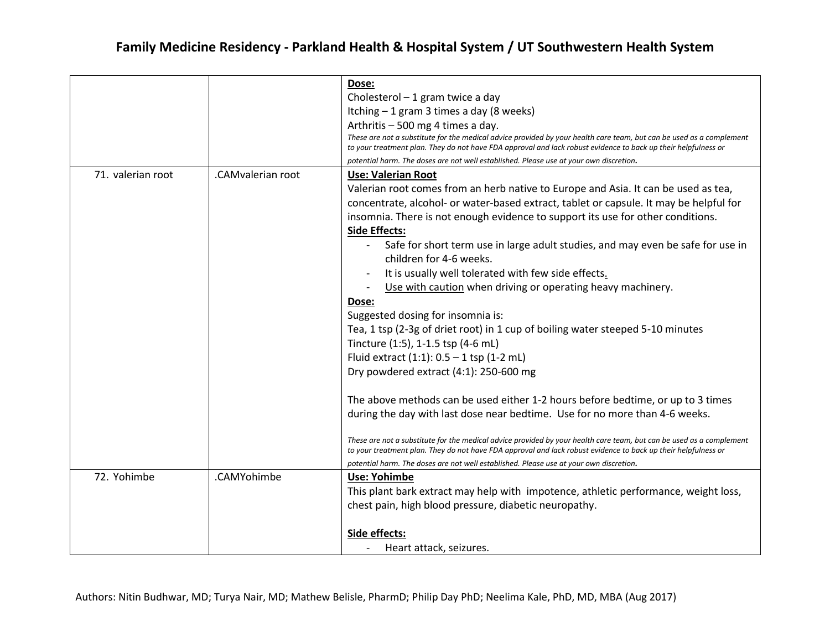|                   |                   | Dose:                                                                                                                                                                                                                                  |
|-------------------|-------------------|----------------------------------------------------------------------------------------------------------------------------------------------------------------------------------------------------------------------------------------|
|                   |                   | Cholesterol - 1 gram twice a day                                                                                                                                                                                                       |
|                   |                   | Itching - 1 gram 3 times a day (8 weeks)                                                                                                                                                                                               |
|                   |                   | Arthritis - 500 mg 4 times a day.                                                                                                                                                                                                      |
|                   |                   | These are not a substitute for the medical advice provided by your health care team, but can be used as a complement<br>to your treatment plan. They do not have FDA approval and lack robust evidence to back up their helpfulness or |
|                   |                   | potential harm. The doses are not well established. Please use at your own discretion.                                                                                                                                                 |
| 71. valerian root | .CAMvalerian root | <b>Use: Valerian Root</b>                                                                                                                                                                                                              |
|                   |                   | Valerian root comes from an herb native to Europe and Asia. It can be used as tea,                                                                                                                                                     |
|                   |                   | concentrate, alcohol- or water-based extract, tablet or capsule. It may be helpful for                                                                                                                                                 |
|                   |                   | insomnia. There is not enough evidence to support its use for other conditions.                                                                                                                                                        |
|                   |                   | <b>Side Effects:</b>                                                                                                                                                                                                                   |
|                   |                   | Safe for short term use in large adult studies, and may even be safe for use in                                                                                                                                                        |
|                   |                   | children for 4-6 weeks.                                                                                                                                                                                                                |
|                   |                   | It is usually well tolerated with few side effects.                                                                                                                                                                                    |
|                   |                   | Use with caution when driving or operating heavy machinery.                                                                                                                                                                            |
|                   |                   | Dose:                                                                                                                                                                                                                                  |
|                   |                   | Suggested dosing for insomnia is:                                                                                                                                                                                                      |
|                   |                   | Tea, 1 tsp (2-3g of driet root) in 1 cup of boiling water steeped 5-10 minutes                                                                                                                                                         |
|                   |                   | Tincture (1:5), 1-1.5 tsp (4-6 mL)                                                                                                                                                                                                     |
|                   |                   | Fluid extract $(1:1)$ : $0.5 - 1$ tsp $(1-2$ mL)                                                                                                                                                                                       |
|                   |                   | Dry powdered extract (4:1): 250-600 mg                                                                                                                                                                                                 |
|                   |                   | The above methods can be used either 1-2 hours before bedtime, or up to 3 times                                                                                                                                                        |
|                   |                   | during the day with last dose near bedtime. Use for no more than 4-6 weeks.                                                                                                                                                            |
|                   |                   | These are not a substitute for the medical advice provided by your health care team, but can be used as a complement<br>to your treatment plan. They do not have FDA approval and lack robust evidence to back up their helpfulness or |
|                   |                   | potential harm. The doses are not well established. Please use at your own discretion.                                                                                                                                                 |
| 72. Yohimbe       | .CAMYohimbe       | <b>Use: Yohimbe</b>                                                                                                                                                                                                                    |
|                   |                   | This plant bark extract may help with impotence, athletic performance, weight loss,                                                                                                                                                    |
|                   |                   | chest pain, high blood pressure, diabetic neuropathy.                                                                                                                                                                                  |
|                   |                   | Side effects:                                                                                                                                                                                                                          |
|                   |                   | Heart attack, seizures.                                                                                                                                                                                                                |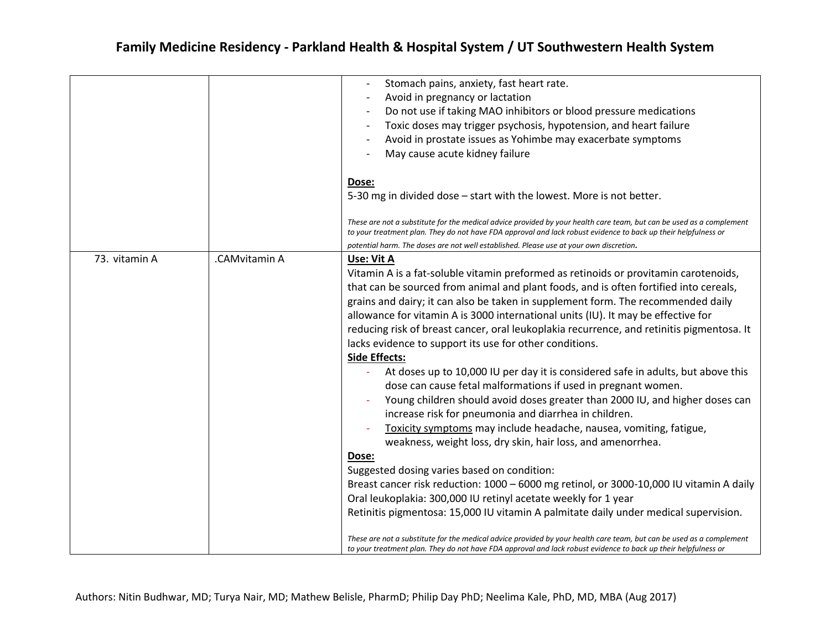|               |               | Stomach pains, anxiety, fast heart rate.<br>Avoid in pregnancy or lactation<br>Do not use if taking MAO inhibitors or blood pressure medications<br>Toxic doses may trigger psychosis, hypotension, and heart failure<br>Avoid in prostate issues as Yohimbe may exacerbate symptoms<br>May cause acute kidney failure<br>Dose:<br>5-30 mg in divided dose - start with the lowest. More is not better.                                                                                                                                                                                                                                                                                                                                                                                                                                                                                                                                                                                                                                                                                                                                                                                                                                                                                                                                                                                                                                                                                                                                        |
|---------------|---------------|------------------------------------------------------------------------------------------------------------------------------------------------------------------------------------------------------------------------------------------------------------------------------------------------------------------------------------------------------------------------------------------------------------------------------------------------------------------------------------------------------------------------------------------------------------------------------------------------------------------------------------------------------------------------------------------------------------------------------------------------------------------------------------------------------------------------------------------------------------------------------------------------------------------------------------------------------------------------------------------------------------------------------------------------------------------------------------------------------------------------------------------------------------------------------------------------------------------------------------------------------------------------------------------------------------------------------------------------------------------------------------------------------------------------------------------------------------------------------------------------------------------------------------------------|
|               |               | These are not a substitute for the medical advice provided by your health care team, but can be used as a complement<br>to your treatment plan. They do not have FDA approval and lack robust evidence to back up their helpfulness or<br>potential harm. The doses are not well established. Please use at your own discretion.                                                                                                                                                                                                                                                                                                                                                                                                                                                                                                                                                                                                                                                                                                                                                                                                                                                                                                                                                                                                                                                                                                                                                                                                               |
| 73. vitamin A | .CAMvitamin A | Use: Vit A<br>Vitamin A is a fat-soluble vitamin preformed as retinoids or provitamin carotenoids,<br>that can be sourced from animal and plant foods, and is often fortified into cereals,<br>grains and dairy; it can also be taken in supplement form. The recommended daily<br>allowance for vitamin A is 3000 international units (IU). It may be effective for<br>reducing risk of breast cancer, oral leukoplakia recurrence, and retinitis pigmentosa. It<br>lacks evidence to support its use for other conditions.<br><b>Side Effects:</b><br>At doses up to 10,000 IU per day it is considered safe in adults, but above this<br>dose can cause fetal malformations if used in pregnant women.<br>Young children should avoid doses greater than 2000 IU, and higher doses can<br>increase risk for pneumonia and diarrhea in children.<br>Toxicity symptoms may include headache, nausea, vomiting, fatigue,<br>weakness, weight loss, dry skin, hair loss, and amenorrhea.<br>Dose:<br>Suggested dosing varies based on condition:<br>Breast cancer risk reduction: 1000 - 6000 mg retinol, or 3000-10,000 IU vitamin A daily<br>Oral leukoplakia: 300,000 IU retinyl acetate weekly for 1 year<br>Retinitis pigmentosa: 15,000 IU vitamin A palmitate daily under medical supervision.<br>These are not a substitute for the medical advice provided by your health care team, but can be used as a complement<br>to your treatment plan. They do not have FDA approval and lack robust evidence to back up their helpfulness or |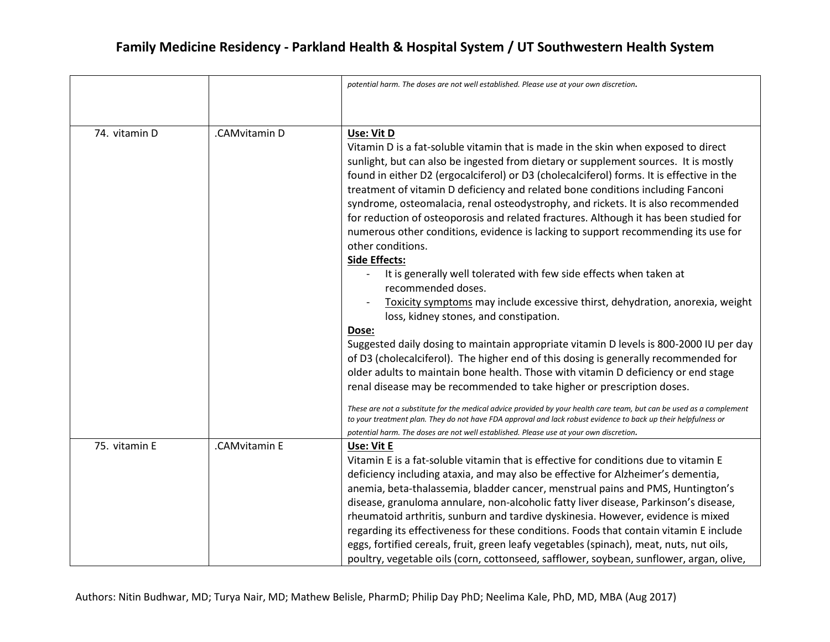|               |               | potential harm. The doses are not well established. Please use at your own discretion.                                                                                                                                                 |
|---------------|---------------|----------------------------------------------------------------------------------------------------------------------------------------------------------------------------------------------------------------------------------------|
|               |               |                                                                                                                                                                                                                                        |
|               |               |                                                                                                                                                                                                                                        |
|               |               |                                                                                                                                                                                                                                        |
| 74. vitamin D | .CAMvitamin D | Use: Vit D                                                                                                                                                                                                                             |
|               |               | Vitamin D is a fat-soluble vitamin that is made in the skin when exposed to direct                                                                                                                                                     |
|               |               | sunlight, but can also be ingested from dietary or supplement sources. It is mostly                                                                                                                                                    |
|               |               | found in either D2 (ergocalciferol) or D3 (cholecalciferol) forms. It is effective in the                                                                                                                                              |
|               |               | treatment of vitamin D deficiency and related bone conditions including Fanconi                                                                                                                                                        |
|               |               | syndrome, osteomalacia, renal osteodystrophy, and rickets. It is also recommended                                                                                                                                                      |
|               |               | for reduction of osteoporosis and related fractures. Although it has been studied for                                                                                                                                                  |
|               |               | numerous other conditions, evidence is lacking to support recommending its use for                                                                                                                                                     |
|               |               | other conditions.                                                                                                                                                                                                                      |
|               |               | <b>Side Effects:</b>                                                                                                                                                                                                                   |
|               |               | It is generally well tolerated with few side effects when taken at                                                                                                                                                                     |
|               |               | recommended doses.                                                                                                                                                                                                                     |
|               |               | Toxicity symptoms may include excessive thirst, dehydration, anorexia, weight                                                                                                                                                          |
|               |               | loss, kidney stones, and constipation.                                                                                                                                                                                                 |
|               |               | Dose:                                                                                                                                                                                                                                  |
|               |               | Suggested daily dosing to maintain appropriate vitamin D levels is 800-2000 IU per day                                                                                                                                                 |
|               |               | of D3 (cholecalciferol). The higher end of this dosing is generally recommended for                                                                                                                                                    |
|               |               | older adults to maintain bone health. Those with vitamin D deficiency or end stage                                                                                                                                                     |
|               |               | renal disease may be recommended to take higher or prescription doses.                                                                                                                                                                 |
|               |               |                                                                                                                                                                                                                                        |
|               |               | These are not a substitute for the medical advice provided by your health care team, but can be used as a complement<br>to your treatment plan. They do not have FDA approval and lack robust evidence to back up their helpfulness or |
|               |               | potential harm. The doses are not well established. Please use at your own discretion.                                                                                                                                                 |
| 75. vitamin E | .CAMvitamin E | Use: Vit E                                                                                                                                                                                                                             |
|               |               | Vitamin E is a fat-soluble vitamin that is effective for conditions due to vitamin E                                                                                                                                                   |
|               |               | deficiency including ataxia, and may also be effective for Alzheimer's dementia,                                                                                                                                                       |
|               |               | anemia, beta-thalassemia, bladder cancer, menstrual pains and PMS, Huntington's                                                                                                                                                        |
|               |               | disease, granuloma annulare, non-alcoholic fatty liver disease, Parkinson's disease,                                                                                                                                                   |
|               |               | rheumatoid arthritis, sunburn and tardive dyskinesia. However, evidence is mixed                                                                                                                                                       |
|               |               | regarding its effectiveness for these conditions. Foods that contain vitamin E include                                                                                                                                                 |
|               |               | eggs, fortified cereals, fruit, green leafy vegetables (spinach), meat, nuts, nut oils,                                                                                                                                                |
|               |               | poultry, vegetable oils (corn, cottonseed, safflower, soybean, sunflower, argan, olive,                                                                                                                                                |